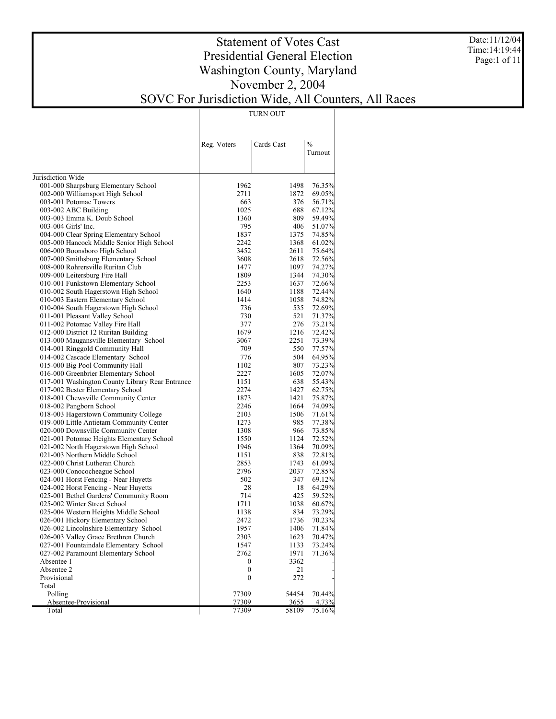Date:11/12/04 Time:14:19:44 Page:1 of 11

# Statement of Votes Cast Presidential General Election Washington County, Maryland November 2, 2004 SOVC For Jurisdiction Wide, All Counters, All Races

TURN OUT

|                                                                        | Reg. Voters      | Cards Cast    | $\frac{0}{0}$<br>Turnout |
|------------------------------------------------------------------------|------------------|---------------|--------------------------|
| Jurisdiction Wide                                                      |                  |               |                          |
| 001-000 Sharpsburg Elementary School                                   | 1962             | 1498          | 76.35%                   |
| 002-000 Williamsport High School                                       | 2711             | 1872          | 69.05%                   |
| 003-001 Potomac Towers                                                 | 663              | 376           | 56.71%                   |
| 003-002 ABC Building                                                   | 1025             | 688           | 67.12%                   |
| 003-003 Emma K. Doub School                                            | 1360             | 809           | 59.49%                   |
| 003-004 Girls' Inc.                                                    | 795              | 406           | 51.07%                   |
| 004-000 Clear Spring Elementary School                                 | 1837             | 1375          | 74.85%                   |
| 005-000 Hancock Middle Senior High School                              | 2242             | 1368          | 61.02%                   |
| 006-000 Boonsboro High School                                          | 3452             | 2611          | 75.64%                   |
| 007-000 Smithsburg Elementary School                                   | 3608             | 2618          | 72.56%                   |
| 008-000 Rohrersville Ruritan Club                                      | 1477             | 1097          | 74.27%                   |
| 009-000 Leitersburg Fire Hall                                          | 1809             | 1344          | 74.30%                   |
| 010-001 Funkstown Elementary School                                    | 2253             | 1637          | 72.66%                   |
| 010-002 South Hagerstown High School                                   | 1640             | 1188          | 72.44%                   |
| 010-003 Eastern Elementary School                                      | 1414<br>736      | 1058<br>535   | 74.82%                   |
| 010-004 South Hagerstown High School<br>011-001 Pleasant Valley School | 730              | 521           | 72.69%<br>71.37%         |
| 011-002 Potomac Valley Fire Hall                                       | 377              | 276           | 73.21%                   |
| 012-000 District 12 Ruritan Building                                   | 1679             | 1216          | 72.42%                   |
| 013-000 Maugansville Elementary School                                 | 3067             | 2251          | 73.39%                   |
| 014-001 Ringgold Community Hall                                        | 709              | 550           | 77.57%                   |
| 014-002 Cascade Elementary School                                      | 776              | 504           | 64.95%                   |
| 015-000 Big Pool Community Hall                                        | 1102             | 807           | 73.23%                   |
| 016-000 Greenbrier Elementary School                                   | 2227             | 1605          | 72.07%                   |
| 017-001 Washington County Library Rear Entrance                        | 1151             | 638           | 55.43%                   |
| 017-002 Bester Elementary School                                       | 2274             | 1427          | 62.75%                   |
| 018-001 Chewsville Community Center                                    | 1873             | 1421          | 75.87%                   |
| 018-002 Pangborn School                                                | 2246             | 1664          | 74.09%                   |
| 018-003 Hagerstown Community College                                   | 2103             | 1506          | 71.61%                   |
| 019-000 Little Antietam Community Center                               | 1273             | 985           | 77.38%                   |
| 020-000 Downsville Community Center                                    | 1308             | 966           | 73.85%                   |
| 021-001 Potomac Heights Elementary School                              | 1550             | 1124          | 72.52%                   |
| 021-002 North Hagerstown High School                                   | 1946             | 1364          | 70.09%                   |
| 021-003 Northern Middle School                                         | 1151             | 838           | 72.81%                   |
| 022-000 Christ Lutheran Church                                         | 2853             | 1743          | 61.09%                   |
| 023-000 Conococheague School                                           | 2796             | 2037          | 72.85%                   |
| 024-001 Horst Fencing - Near Huyetts                                   | 502              | 347           | 69.12%                   |
| 024-002 Horst Fencing - Near Huyetts                                   | 28               | 18            | 64.29%                   |
| 025-001 Bethel Gardens' Community Room                                 | 714              | 425           | 59.52%                   |
| 025-002 Winter Street School                                           | 1711             | 1038          | 60.67%                   |
| 025-004 Western Heights Middle School                                  | 1138             | 834           | 73.29%                   |
| 026-001 Hickory Elementary School                                      | 2472             | 1736          | 70.23%                   |
| 026-002 Lincolnshire Elementary School                                 | 1957             | 1406          | 71.84%                   |
| 026-003 Valley Grace Brethren Church                                   | 2303             | 1623          | 70.47%                   |
| 027-001 Fountaindale Elementary School                                 | 1547             | 1133          | 73.24%                   |
| 027-002 Paramount Elementary School                                    | 2762             | 1971          | 71.36%                   |
| Absentee 1                                                             | 0                | 3362          |                          |
| Absentee 2                                                             | $\boldsymbol{0}$ | 21            |                          |
| Provisional                                                            | $\overline{0}$   | 272           |                          |
| Total                                                                  |                  |               |                          |
| Polling                                                                | 77309            | 54454         | 70.44%                   |
| Absentee-Provisional<br>Total                                          | 77309<br>77309   | 3655<br>58109 | 4.73%<br>75.16%          |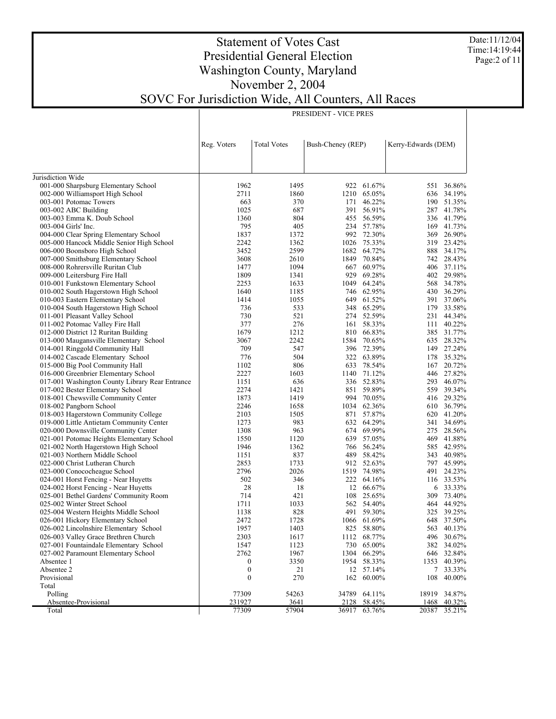Date:11/12/04 Time:14:19:44 Page:2 of 11

### Statement of Votes Cast Presidential General Election Washington County, Maryland November 2, 2004 SOVC For Jurisdiction Wide, All Counters, All Races

PRESIDENT - VICE PRES

|                                                                | Reg. Voters      | <b>Total Votes</b> | Bush-Cheney (REP) |                          | Kerry-Edwards (DEM) |                          |
|----------------------------------------------------------------|------------------|--------------------|-------------------|--------------------------|---------------------|--------------------------|
|                                                                |                  |                    |                   |                          |                     |                          |
| Jurisdiction Wide                                              |                  |                    |                   |                          |                     |                          |
| 001-000 Sharpsburg Elementary School                           | 1962             | 1495               |                   | 922 61.67%               | 551                 | 36.86%                   |
| 002-000 Williamsport High School                               | 2711             | 1860               | 1210              | 65.05%                   | 636                 | 34.19%                   |
| 003-001 Potomac Towers                                         | 663              | 370                |                   | 171 46.22%               |                     | 190 51.35%               |
| 003-002 ABC Building                                           | 1025             | 687                |                   | 391 56.91%               |                     | 287 41.78%               |
| 003-003 Emma K. Doub School                                    | 1360             | 804                |                   | 455 56.59%               |                     | 336 41.79%               |
| 003-004 Girls' Inc.                                            | 795              | 405                |                   | 234 57.78%               |                     | 169 41.73%               |
| 004-000 Clear Spring Elementary School                         | 1837             | 1372               |                   | 992 72.30%               |                     | 369 26.90%               |
| 005-000 Hancock Middle Senior High School                      | 2242             | 1362               |                   | 1026 75.33%              |                     | 319 23.42%               |
| 006-000 Boonsboro High School                                  | 3452             | 2599               |                   | 1682 64.72%              |                     | 888 34.17%               |
| 007-000 Smithsburg Elementary School                           | 3608             | 2610               |                   | 1849 70.84%              |                     | 742 28.43%               |
| 008-000 Rohrersville Ruritan Club                              | 1477             | 1094               | 667               | 60.97%                   |                     | 406 37.11%               |
| 009-000 Leitersburg Fire Hall                                  | 1809             | 1341               | 929               | 69.28%                   |                     | 402 29.98%               |
| 010-001 Funkstown Elementary School                            | 2253             | 1633               |                   | 1049 64.24%              |                     | 568 34.78%               |
| 010-002 South Hagerstown High School                           | 1640             | 1185               |                   | 746 62.95%               |                     | 430 36.29%               |
| 010-003 Eastern Elementary School                              | 1414             | 1055               |                   | 649 61.52%               |                     | 391 37.06%               |
| 010-004 South Hagerstown High School                           | 736              | 533                |                   | 348 65.29%               |                     | 179 33.58%               |
| 011-001 Pleasant Valley School                                 | 730              | 521                |                   | 274 52.59%               |                     | 231 44.34%               |
| 011-002 Potomac Valley Fire Hall                               | 377              | 276                |                   | 161 58.33%               |                     | 111 40.22%               |
| 012-000 District 12 Ruritan Building                           | 1679             | 1212               |                   | 810 66.83%               |                     | 385 31.77%               |
| 013-000 Maugansville Elementary School                         | 3067             | 2242               |                   | 1584 70.65%              |                     | 635 28.32%               |
| 014-001 Ringgold Community Hall                                | 709              | 547                |                   | 396 72.39%               |                     | 149 27.24%               |
| 014-002 Cascade Elementary School                              | 776              | 504                |                   | 322 63.89%               | 178                 | 35.32%                   |
| 015-000 Big Pool Community Hall                                | 1102             | 806                |                   | 633 78.54%               |                     | 167 20.72%               |
| 016-000 Greenbrier Elementary School                           | 2227             | 1603               |                   | 1140 71.12%              |                     | 446 27.82%               |
| 017-001 Washington County Library Rear Entrance                | 1151<br>2274     | 636                |                   | 336 52.83%               |                     | 293 46.07%               |
| 017-002 Bester Elementary School                               | 1873             | 1421<br>1419       |                   | 851 59.89%<br>994 70.05% |                     | 559 39.34%<br>416 29.32% |
| 018-001 Chewsville Community Center<br>018-002 Pangborn School | 2246             | 1658               |                   | 1034 62.36%              |                     | 610 36.79%               |
| 018-003 Hagerstown Community College                           | 2103             | 1505               |                   | 871 57.87%               |                     | 620 41.20%               |
| 019-000 Little Antietam Community Center                       | 1273             | 983                |                   | 632 64.29%               |                     | 341 34.69%               |
| 020-000 Downsville Community Center                            | 1308             | 963                |                   | 674 69.99%               |                     | 275 28.56%               |
| 021-001 Potomac Heights Elementary School                      | 1550             | 1120               |                   | 639 57.05%               | 469                 | 41.88%                   |
| 021-002 North Hagerstown High School                           | 1946             | 1362               |                   | 766 56.24%               |                     | 585 42.95%               |
| 021-003 Northern Middle School                                 | 1151             | 837                |                   | 489 58.42%               | 343                 | 40.98%                   |
| 022-000 Christ Lutheran Church                                 | 2853             | 1733               |                   | 912 52.63%               |                     | 797 45.99%               |
| 023-000 Conococheague School                                   | 2796             | 2026               |                   | 1519 74.98%              |                     | 491 24.23%               |
| 024-001 Horst Fencing - Near Huyetts                           | 502              | 346                |                   | 222 64.16%               |                     | 116 33.53%               |
| 024-002 Horst Fencing - Near Huyetts                           | 28               | 18                 | 12                | 66.67%                   | 6                   | 33.33%                   |
| 025-001 Bethel Gardens' Community Room                         | 714              | 421                |                   | 108 25.65%               | 309                 | 73.40%                   |
| 025-002 Winter Street School                                   | 1711             | 1033               |                   | 562 54.40%               |                     | 464 44.92%               |
| 025-004 Western Heights Middle School                          | 1138             | 828                |                   | 491 59.30%               |                     | 325 39.25%               |
| 026-001 Hickory Elementary School                              | 2472             | 1728               |                   | 1066 61.69%              |                     | 648 37.50%               |
| 026-002 Lincolnshire Elementary School                         | 1957             | 1403               |                   | 825 58.80%               |                     | 563 40.13%               |
| 026-003 Valley Grace Brethren Church                           | 2303             | 1617               |                   | 1112 68.77%              |                     | 496 30.67%               |
| 027-001 Fountaindale Elementary School                         | 1547             | 1123               |                   | 730 65.00%               |                     | 382 34.02%               |
| 027-002 Paramount Elementary School                            | 2762             | 1967               |                   | 1304 66.29%              |                     | 646 32.84%               |
| Absentee 1                                                     | 0                | 3350               |                   | 1954 58.33%              |                     | 1353 40.39%              |
| Absentee 2                                                     | $\boldsymbol{0}$ | 21                 |                   | 12 57.14%                |                     | 7 33.33%                 |
| Provisional                                                    | $\boldsymbol{0}$ | 270                |                   | 162 60.00%               | 108                 | 40.00%                   |
| Total                                                          |                  |                    |                   |                          |                     |                          |
| Polling                                                        | 77309            | 54263              |                   | 34789 64.11%             | 18919               | 34.87%                   |
| Absentee-Provisional                                           | 231927           | 3641               | 2128              | 58.45%                   | 1468                | 40.32%                   |
| Total                                                          | 77309            | 57904              | 36917             | 63.76%                   | 20387               | 35.21%                   |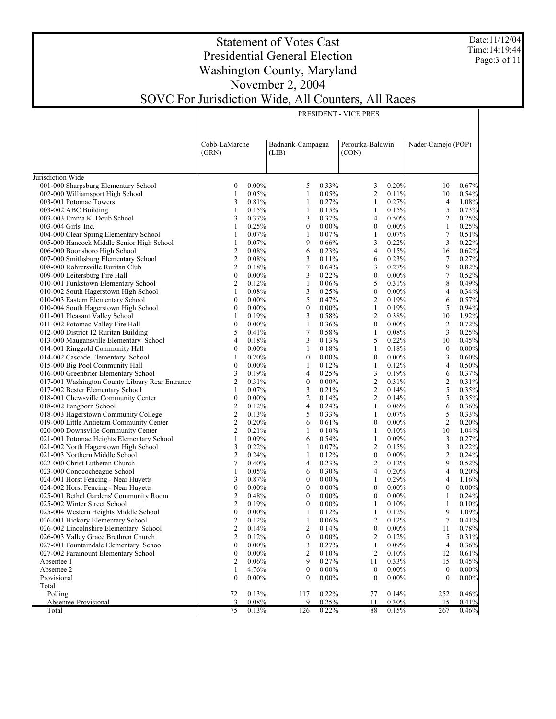Date:11/12/04 Time:14:19:44 Page:3 of 11

### Statement of Votes Cast Presidential General Election Washington County, Maryland November 2, 2004 SOVC For Jurisdiction Wide, All Counters, All Races

| PRESIDENT - VICE PRES |  |
|-----------------------|--|

|                                                 | Cobb-LaMarche<br>(GRN) |                | Badnarik-Campagna<br>(LIB) |          |                  |                | Peroutka-Baldwin<br>(CON) |          |  |  | Nader-Camejo (POP) |  |
|-------------------------------------------------|------------------------|----------------|----------------------------|----------|------------------|----------------|---------------------------|----------|--|--|--------------------|--|
| Jurisdiction Wide                               |                        |                |                            |          |                  |                |                           |          |  |  |                    |  |
| 001-000 Sharpsburg Elementary School            | $\boldsymbol{0}$       | $0.00\%$       | 5                          | 0.33%    | 3                | 0.20%          | 10                        | 0.67%    |  |  |                    |  |
| 002-000 Williamsport High School                | 1                      | 0.05%          | 1                          | 0.05%    | $\overline{c}$   | 0.11%          | 10                        | 0.54%    |  |  |                    |  |
| 003-001 Potomac Towers                          | 3                      | 0.81%          | 1                          | 0.27%    | 1                | 0.27%          | $\overline{4}$            | 1.08%    |  |  |                    |  |
| 003-002 ABC Building                            | $\mathbf{1}$           | 0.15%          | $\mathbf{1}$               | 0.15%    | $\mathbf{1}$     | 0.15%          | 5                         | 0.73%    |  |  |                    |  |
| 003-003 Emma K. Doub School                     | 3                      | 0.37%          | 3                          | 0.37%    | 4                | 0.50%          | $\overline{2}$            | 0.25%    |  |  |                    |  |
| 003-004 Girls' Inc.                             | 1                      | 0.25%          | $\boldsymbol{0}$           | $0.00\%$ | $\boldsymbol{0}$ | $0.00\%$       | $\mathbf{1}$              | 0.25%    |  |  |                    |  |
| 004-000 Clear Spring Elementary School          | $\mathbf{1}$           | 0.07%          | $\mathbf{1}$               | 0.07%    | $\mathbf{1}$     | 0.07%          | $\tau$                    | 0.51%    |  |  |                    |  |
| 005-000 Hancock Middle Senior High School       | $\mathbf{1}$           | 0.07%          | 9                          | 0.66%    | 3                | 0.22%          | 3                         | 0.22%    |  |  |                    |  |
| 006-000 Boonsboro High School                   | $\overline{2}$         | 0.08%          | 6                          | 0.23%    | $\overline{4}$   | 0.15%          | 16                        | 0.62%    |  |  |                    |  |
| 007-000 Smithsburg Elementary School            | $\mathbf{2}$           | $0.08\%$       | 3                          | 0.11%    | 6                | 0.23%          | 7                         | 0.27%    |  |  |                    |  |
| 008-000 Rohrersville Ruritan Club               | $\overline{c}$         | 0.18%          | $\tau$                     | 0.64%    | 3                | 0.27%          | 9                         | 0.82%    |  |  |                    |  |
| 009-000 Leitersburg Fire Hall                   | $\boldsymbol{0}$       | $0.00\%$       | 3                          | 0.22%    | $\boldsymbol{0}$ | $0.00\%$       | $\tau$                    | 0.52%    |  |  |                    |  |
| 010-001 Funkstown Elementary School             | $\overline{c}$         | 0.12%          | 1                          | 0.06%    | 5                | 0.31%          | 8                         | 0.49%    |  |  |                    |  |
| 010-002 South Hagerstown High School            | $\mathbf{1}$           | 0.08%          | 3                          | 0.25%    | $\boldsymbol{0}$ | $0.00\%$       | 4                         | 0.34%    |  |  |                    |  |
| 010-003 Eastern Elementary School               | $\boldsymbol{0}$       | $0.00\%$       | 5                          | 0.47%    | $\overline{2}$   | 0.19%          | 6                         | 0.57%    |  |  |                    |  |
| 010-004 South Hagerstown High School            | $\boldsymbol{0}$       | $0.00\%$       | $\boldsymbol{0}$           | $0.00\%$ | $\mathbf{1}$     | 0.19%          | 5                         | 0.94%    |  |  |                    |  |
| 011-001 Pleasant Valley School                  | $\mathbf{1}$           | 0.19%          | 3                          | 0.58%    | $\overline{c}$   | 0.38%          | 10                        | 1.92%    |  |  |                    |  |
| 011-002 Potomac Valley Fire Hall                | $\boldsymbol{0}$       | $0.00\%$       | $\mathbf{1}$               | 0.36%    | $\boldsymbol{0}$ | $0.00\%$       | $\overline{2}$            | 0.72%    |  |  |                    |  |
| 012-000 District 12 Ruritan Building            | 5                      | 0.41%          | 7                          | 0.58%    | $\mathbf{1}$     | 0.08%          | $\mathfrak{Z}$            | 0.25%    |  |  |                    |  |
| 013-000 Maugansville Elementary School          | 4                      | 0.18%          | 3                          | 0.13%    | 5                | 0.22%          | 10                        | 0.45%    |  |  |                    |  |
| 014-001 Ringgold Community Hall                 | $\boldsymbol{0}$       | $0.00\%$       | 1                          | 0.18%    | 1                | 0.18%          | $\boldsymbol{0}$          | $0.00\%$ |  |  |                    |  |
| 014-002 Cascade Elementary School               | $\mathbf{1}$           | 0.20%          | $\boldsymbol{0}$           | $0.00\%$ | $\boldsymbol{0}$ | $0.00\%$       | 3                         | 0.60%    |  |  |                    |  |
| 015-000 Big Pool Community Hall                 | $\boldsymbol{0}$       | $0.00\%$       | $\mathbf{1}$               | 0.12%    | $\mathbf{1}$     | 0.12%          | $\overline{4}$            | 0.50%    |  |  |                    |  |
| 016-000 Greenbrier Elementary School            | 3                      | 0.19%          | $\overline{4}$             | 0.25%    | 3                | 0.19%          | 6                         | 0.37%    |  |  |                    |  |
| 017-001 Washington County Library Rear Entrance | $\mathfrak{2}$         | 0.31%          | $\boldsymbol{0}$           | $0.00\%$ | $\overline{c}$   | 0.31%          | $\overline{c}$            | 0.31%    |  |  |                    |  |
| 017-002 Bester Elementary School                | $\mathbf{1}$           | 0.07%          | 3                          | 0.21%    | $\mathfrak{2}$   | 0.14%          | 5                         | 0.35%    |  |  |                    |  |
| 018-001 Chewsville Community Center             | $\mathbf{0}$           | $0.00\%$       | $\overline{c}$             | 0.14%    | $\overline{2}$   | 0.14%          | 5                         | 0.35%    |  |  |                    |  |
| 018-002 Pangborn School                         | $\mathfrak{2}$         | 0.12%          | $\overline{4}$             | 0.24%    | $\mathbf{1}$     | 0.06%          | 6                         | 0.36%    |  |  |                    |  |
| 018-003 Hagerstown Community College            | $\mathfrak{2}$         | 0.13%          | 5                          | 0.33%    | $\mathbf{1}$     | 0.07%          | 5                         | 0.33%    |  |  |                    |  |
| 019-000 Little Antietam Community Center        | $\mathfrak{2}$         | 0.20%          | 6                          | 0.61%    | $\boldsymbol{0}$ | $0.00\%$       | $\overline{2}$            | 0.20%    |  |  |                    |  |
| 020-000 Downsville Community Center             | $\mathfrak{2}$         | 0.21%          | 1                          | 0.10%    | $\mathbf{1}$     | 0.10%          | 10                        | 1.04%    |  |  |                    |  |
| 021-001 Potomac Heights Elementary School       | $\mathbf{1}$           | 0.09%          | 6                          | 0.54%    | $\mathbf{1}$     | 0.09%          | 3                         | 0.27%    |  |  |                    |  |
| 021-002 North Hagerstown High School            | 3                      | 0.22%          | $\mathbf{1}$               | 0.07%    | $\overline{c}$   | 0.15%          | 3                         | 0.22%    |  |  |                    |  |
| 021-003 Northern Middle School                  | $\overline{c}$         | 0.24%          | $\mathbf{1}$               | 0.12%    | $\boldsymbol{0}$ | $0.00\%$       | $\overline{c}$            | 0.24%    |  |  |                    |  |
| 022-000 Christ Lutheran Church                  | 7                      | 0.40%          | $\overline{4}$             | 0.23%    | $\overline{2}$   | 0.12%          | 9                         | 0.52%    |  |  |                    |  |
| 023-000 Conococheague School                    | $\mathbf{1}$           | 0.05%          | 6                          | 0.30%    | 4                | 0.20%          | 4                         | 0.20%    |  |  |                    |  |
| 024-001 Horst Fencing - Near Huyetts            | 3                      | 0.87%          | $\boldsymbol{0}$           | $0.00\%$ | 1                | 0.29%          | 4                         | 1.16%    |  |  |                    |  |
| 024-002 Horst Fencing - Near Huyetts            | $\boldsymbol{0}$       | $0.00\%$       | $\mathbf{0}$               | $0.00\%$ | $\boldsymbol{0}$ | $0.00\%$       | $\mathbf{0}$              | $0.00\%$ |  |  |                    |  |
| 025-001 Bethel Gardens' Community Room          | $\overline{2}$         | 0.48%          | $\boldsymbol{0}$           | $0.00\%$ | $\boldsymbol{0}$ | $0.00\%$       | 1                         | 0.24%    |  |  |                    |  |
| 025-002 Winter Street School                    | $\mathbf{2}$           | 0.19%          | $\boldsymbol{0}$           | $0.00\%$ | 1                | 0.10%          | $\mathbf{1}$              | 0.10%    |  |  |                    |  |
| 025-004 Western Heights Middle School           | $\boldsymbol{0}$       | $0.00\%$       | $\mathbf{1}$               | 0.12%    | $\mathbf{1}$     | 0.12%          | 9                         | 1.09%    |  |  |                    |  |
| 026-001 Hickory Elementary School               | $\mathfrak{2}$         | 0.12%          | $\mathbf{1}$               | 0.06%    | 2                | 0.12%          | $\tau$                    | 0.41%    |  |  |                    |  |
| 026-002 Lincolnshire Elementary School          | $\overline{2}$         | 0.14%          | $\mathfrak{2}$             | 0.14%    | $\mathbf{0}$     | $0.00\%$       | 11                        | 0.78%    |  |  |                    |  |
| 026-003 Valley Grace Brethren Church            | $\overline{c}$         | 0.12%          | $\mathbf{0}$               | $0.00\%$ | $\overline{2}$   | 0.12%          | 5 <sup>5</sup>            | 0.31%    |  |  |                    |  |
| 027-001 Fountaindale Elementary School          | $\boldsymbol{0}$       | $0.00\%$       | 3                          | 0.27%    | 1                | 0.09%          | 4                         | 0.36%    |  |  |                    |  |
| 027-002 Paramount Elementary School             | $\boldsymbol{0}$       | $0.00\%$       | $\overline{2}$             | 0.10%    | $\overline{2}$   | 0.10%          | 12                        | 0.61%    |  |  |                    |  |
| Absentee 1                                      | $\overline{2}$         | 0.06%<br>4.76% | 9                          | 0.27%    | 11               | 0.33%          | 15                        | 0.45%    |  |  |                    |  |
| Absentee 2                                      | 1                      |                | $\boldsymbol{0}$           | $0.00\%$ | $\boldsymbol{0}$ | $0.00\%$       | $\boldsymbol{0}$          | 0.00%    |  |  |                    |  |
| Provisional                                     | $\mathbf{0}$           | $0.00\%$       | $\theta$                   | $0.00\%$ | $\theta$         | $0.00\%$       | $\theta$                  | $0.00\%$ |  |  |                    |  |
| Total                                           |                        | 0.13%          |                            | 0.22%    |                  |                |                           | 0.46%    |  |  |                    |  |
| Polling<br>Absentee-Provisional                 | 72<br>3                | 0.08%          | 117<br>9                   | 0.25%    | 77<br>11         | 0.14%<br>0.30% | 252<br>15                 | 0.41%    |  |  |                    |  |
| Total                                           | 75                     | 0.13%          | 126                        | 0.22%    | 88               | 0.15%          | 267                       | 0.46%    |  |  |                    |  |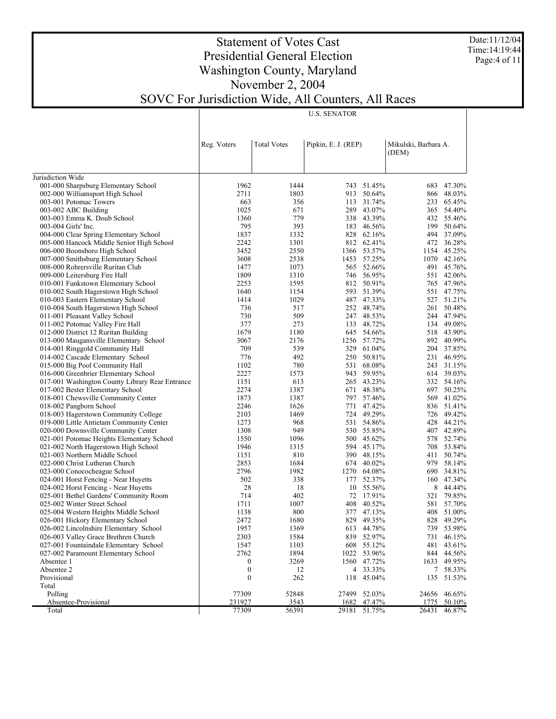Date:11/12/04 Time:14:19:44 Page:4 of 11

# Statement of Votes Cast Presidential General Election Washington County, Maryland November 2, 2004 SOVC For Jurisdiction Wide, All Counters, All Races

U.S. SENATOR

|                                                 | Reg. Voters      | <b>Total Votes</b> | Pipkin, E. J. (REP) |                      | Mikulski, Barbara A. |                          |
|-------------------------------------------------|------------------|--------------------|---------------------|----------------------|----------------------|--------------------------|
|                                                 |                  |                    |                     |                      | (DEM)                |                          |
|                                                 |                  |                    |                     |                      |                      |                          |
| Jurisdiction Wide                               |                  |                    |                     |                      |                      |                          |
| 001-000 Sharpsburg Elementary School            | 1962             | 1444               |                     | 743 51.45%           | 683                  | 47.30%                   |
| 002-000 Williamsport High School                | 2711             | 1803               |                     | 913 50.64%           | 866                  | 48.03%                   |
| 003-001 Potomac Towers                          | 663              | 356                |                     | 113 31.74%           | 233                  | 65.45%                   |
| 003-002 ABC Building                            | 1025             | 671                |                     | 289 43.07%           | 365                  | 54.40%                   |
| 003-003 Emma K. Doub School                     | 1360             | 779                |                     | 338 43.39%           |                      | 432 55.46%               |
| 003-004 Girls' Inc.                             | 795              | 393                |                     | 183 46.56%           | 199                  | 50.64%                   |
| 004-000 Clear Spring Elementary School          | 1837             | 1332               |                     | 828 62.16%           |                      | 494 37.09%               |
| 005-000 Hancock Middle Senior High School       | 2242             | 1301               |                     | 812 62.41%           |                      | 472 36.28%               |
| 006-000 Boonsboro High School                   | 3452             | 2550               |                     | 1366 53.57%          |                      | 1154 45.25%              |
| 007-000 Smithsburg Elementary School            | 3608             | 2538               | 1453                | 57.25%               |                      | 1070 42.16%              |
| 008-000 Rohrersville Ruritan Club               | 1477             | 1073               |                     | 565 52.66%           |                      | 491 45.76%               |
| 009-000 Leitersburg Fire Hall                   | 1809             | 1310               |                     | 746 56.95%           |                      | 551 42.06%               |
| 010-001 Funkstown Elementary School             | 2253             | 1595               |                     | 812 50.91%           |                      | 765 47.96%               |
| 010-002 South Hagerstown High School            | 1640             | 1154               |                     | 593 51.39%           |                      | 551 47.75%               |
| 010-003 Eastern Elementary School               | 1414             | 1029               |                     | 487 47.33%           | 527                  | 51.21%                   |
| 010-004 South Hagerstown High School            | 736              | 517                |                     | 252 48.74%           |                      | 261 50.48%               |
| 011-001 Pleasant Valley School                  | 730              | 509                |                     | 247 48.53%           |                      | 244 47.94%               |
| 011-002 Potomac Valley Fire Hall                | 377              | 273                |                     | 133 48.72%           |                      | 134 49.08%               |
| 012-000 District 12 Ruritan Building            | 1679             | 1180               |                     | 645 54.66%           |                      | 518 43.90%               |
| 013-000 Maugansville Elementary School          | 3067             | 2176               |                     | 1256 57.72%          |                      | 892 40.99%               |
| 014-001 Ringgold Community Hall                 | 709              | 539                |                     | 329 61.04%           |                      | 204 37.85%               |
| 014-002 Cascade Elementary School               | 776              | 492                |                     | 250 50.81%           |                      | 231 46.95%               |
| 015-000 Big Pool Community Hall                 | 1102             | 780                |                     | 531 68.08%           | 243                  | 31.15%                   |
| 016-000 Greenbrier Elementary School            | 2227             | 1573               |                     | 943 59.95%           |                      | 614 39.03%               |
| 017-001 Washington County Library Rear Entrance | 1151             | 613                |                     | 265 43.23%           |                      | 332 54.16%               |
| 017-002 Bester Elementary School                | 2274             | 1387               |                     | 671 48.38%           | 697                  | 50.25%                   |
| 018-001 Chewsville Community Center             | 1873             | 1387               |                     | 797 57.46%           | 569                  | 41.02%                   |
| 018-002 Pangborn School                         | 2246             | 1626               |                     | 771 47.42%           |                      | 836 51.41%               |
| 018-003 Hagerstown Community College            | 2103             | 1469               |                     | 724 49.29%           |                      | 726 49.42%               |
| 019-000 Little Antietam Community Center        | 1273             | 968                |                     | 531 54.86%           | 428                  | 44.21%                   |
| 020-000 Downsville Community Center             | 1308             | 949                |                     | 530 55.85%           |                      | 407 42.89%               |
| 021-001 Potomac Heights Elementary School       | 1550             | 1096               |                     | 500 45.62%           | 578                  | 52.74%                   |
| 021-002 North Hagerstown High School            | 1946             | 1315               |                     | 594 45.17%           |                      | 708 53.84%               |
| 021-003 Northern Middle School                  | 1151             | 810                |                     | 390 48.15%           | 411                  | 50.74%                   |
| 022-000 Christ Lutheran Church                  | 2853             | 1684               |                     | 674 40.02%           | 979                  | 58.14%                   |
| 023-000 Conococheague School                    | 2796             | 1982               | 1270                | 64.08%               | 690                  | 34.81%                   |
| 024-001 Horst Fencing - Near Huyetts            | 502              | 338                |                     | 177 52.37%           |                      | 160 47.34%               |
| 024-002 Horst Fencing - Near Huyetts            | 28               | 18                 | 10                  | 55.56%               | 8                    | 44.44%                   |
| 025-001 Bethel Gardens' Community Room          | 714              | 402                |                     | 72 17.91%            | 321                  | 79.85%                   |
|                                                 | 1711             |                    |                     |                      |                      |                          |
| 025-002 Winter Street School                    |                  | 1007               | 408                 | 40.52%<br>377 47.13% |                      | 581 57.70%<br>408 51.00% |
| 025-004 Western Heights Middle School           | 1138             | 800                |                     |                      |                      |                          |
| 026-001 Hickory Elementary School               | 2472             | 1680               |                     | 829 49.35%           | 828                  | 49.29%<br>739 53.98%     |
| 026-002 Lincolnshire Elementary School          | 1957             | 1369               |                     | 613 44.78%           |                      |                          |
| 026-003 Valley Grace Brethren Church            | 2303             | 1584               |                     | 839 52.97%           |                      | 731 46.15%               |
| 027-001 Fountaindale Elementary School          | 1547             | 1103               |                     | 608 55.12%           |                      | 481 43.61%               |
| 027-002 Paramount Elementary School             | 2762             | 1894               | 1022                | 53.96%               |                      | 844 44.56%               |
| Absentee 1                                      | 0                | 3269               |                     | 1560 47.72%          |                      | 1633 49.95%              |
| Absentee 2                                      | 0                | 12                 |                     | 4 33.33%             | 7                    | 58.33%                   |
| Provisional                                     | $\boldsymbol{0}$ | 262                |                     | 118 45.04%           |                      | 135 51.53%               |
| Total                                           |                  |                    |                     |                      |                      |                          |
| Polling                                         | 77309            | 52848              | 27499               | 52.03%               | 24656                | 46.65%                   |
| Absentee-Provisional                            | 231927           | 3543               | 1682                | 47.47%               | 1775                 | 50.10%                   |
| Total                                           | 77309            | 56391              | 29181               | 51.75%               | 26431                | 46.87%                   |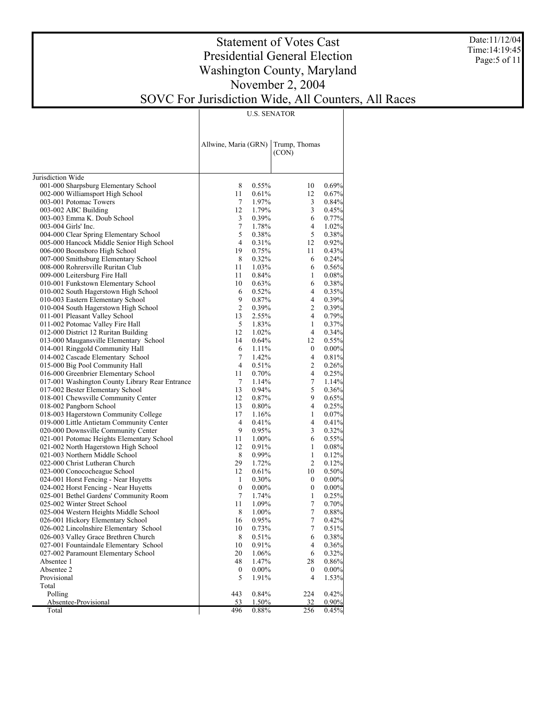Date:11/12/04 Time:14:19:45 Page:5 of 11

### Statement of Votes Cast Presidential General Election Washington County, Maryland November 2, 2004 SOVC For Jurisdiction Wide, All Counters, All Races

U.S. SENATOR

|                                                               | Allwine, Maria (GRN) |                | Trump, Thomas<br>(CON) |                |
|---------------------------------------------------------------|----------------------|----------------|------------------------|----------------|
|                                                               |                      |                |                        |                |
| Jurisdiction Wide                                             |                      |                |                        |                |
| 001-000 Sharpsburg Elementary School                          | 8                    | 0.55%          | 10                     | 0.69%<br>0.67% |
| 002-000 Williamsport High School                              | 11                   | 0.61%          | 12                     | 0.84%          |
| 003-001 Potomac Towers                                        | $\tau$<br>12         | 1.97%          | 3                      | 0.45%          |
| 003-002 ABC Building                                          | 3                    | 1.79%          | 3<br>6                 | 0.77%          |
| 003-003 Emma K. Doub School                                   | 7                    | 0.39%          | 4                      | 1.02%          |
| 003-004 Girls' Inc.<br>004-000 Clear Spring Elementary School | 5                    | 1.78%          | 5                      | 0.38%          |
| 005-000 Hancock Middle Senior High School                     | $\overline{4}$       | 0.38%<br>0.31% | 12                     | 0.92%          |
| 006-000 Boonsboro High School                                 | 19                   | 0.75%          | 11                     | 0.43%          |
| 007-000 Smithsburg Elementary School                          | 8                    | 0.32%          | 6                      | 0.24%          |
| 008-000 Rohrersville Ruritan Club                             | 11                   | 1.03%          | 6                      | 0.56%          |
| 009-000 Leitersburg Fire Hall                                 | 11                   | 0.84%          | 1                      | 0.08%          |
| 010-001 Funkstown Elementary School                           | 10                   | 0.63%          | 6                      | 0.38%          |
| 010-002 South Hagerstown High School                          | 6                    | 0.52%          | 4                      | 0.35%          |
| 010-003 Eastern Elementary School                             | 9                    | 0.87%          | $\overline{4}$         | 0.39%          |
| 010-004 South Hagerstown High School                          | $\overline{2}$       | 0.39%          | 2                      | 0.39%          |
| 011-001 Pleasant Valley School                                | 13                   | 2.55%          | $\overline{4}$         | 0.79%          |
| 011-002 Potomac Valley Fire Hall                              | 5                    | 1.83%          | 1                      | 0.37%          |
| 012-000 District 12 Ruritan Building                          | 12                   | 1.02%          | $\overline{4}$         | 0.34%          |
| 013-000 Maugansville Elementary School                        | 14                   | 0.64%          | 12                     | 0.55%          |
| 014-001 Ringgold Community Hall                               | 6                    | 1.11%          | $\boldsymbol{0}$       | $0.00\%$       |
| 014-002 Cascade Elementary School                             | 7                    | 1.42%          | $\overline{4}$         | 0.81%          |
| 015-000 Big Pool Community Hall                               | $\overline{4}$       | 0.51%          | 2                      | 0.26%          |
| 016-000 Greenbrier Elementary School                          | 11                   | 0.70%          | $\overline{4}$         | 0.25%          |
| 017-001 Washington County Library Rear Entrance               | $\tau$               | 1.14%          | $\tau$                 | 1.14%          |
| 017-002 Bester Elementary School                              | 13                   | 0.94%          | 5                      | 0.36%          |
| 018-001 Chewsville Community Center                           | 12                   | 0.87%          | 9                      | 0.65%          |
| 018-002 Pangborn School                                       | 13                   | 0.80%          | $\overline{4}$         | 0.25%          |
| 018-003 Hagerstown Community College                          | 17                   | 1.16%          | $\mathbf{1}$           | 0.07%          |
| 019-000 Little Antietam Community Center                      | $\overline{4}$       | 0.41%          | $\overline{4}$         | 0.41%          |
| 020-000 Downsville Community Center                           | 9                    | 0.95%          | 3                      | 0.32%          |
| 021-001 Potomac Heights Elementary School                     | 11                   | 1.00%          | 6                      | 0.55%          |
| 021-002 North Hagerstown High School                          | 12                   | 0.91%          | $\mathbf{1}$           | $0.08\%$       |
| 021-003 Northern Middle School                                | 8                    | $0.99\%$       | $\mathbf{1}$           | 0.12%          |
| 022-000 Christ Lutheran Church                                | 29                   | 1.72%          | 2                      | 0.12%          |
| 023-000 Conococheague School                                  | 12                   | 0.61%          | 10                     | 0.50%          |
| 024-001 Horst Fencing - Near Huyetts                          | 1                    | 0.30%          | $\mathbf{0}$           | $0.00\%$       |
| 024-002 Horst Fencing - Near Huyetts                          | $\mathbf{0}$         | $0.00\%$       | $\boldsymbol{0}$       | $0.00\%$       |
| 025-001 Bethel Gardens' Community Room                        | 7                    | 1.74%          | $\mathbf{1}$           | 0.25%          |
| 025-002 Winter Street School                                  | 11                   | 1.09%          | $\tau$                 | 0.70%          |
| 025-004 Western Heights Middle School                         | 8                    | 1.00%          | $\boldsymbol{7}$       | 0.88%          |
| 026-001 Hickory Elementary School                             | 16                   | 0.95%          | $\boldsymbol{7}$       | 0.42%          |
| 026-002 Lincolnshire Elementary School                        | 10                   | 0.73%          | $\tau$                 | 0.51%          |
| 026-003 Valley Grace Brethren Church                          | 8                    | 0.51%          | 6                      | 0.38%          |
| 027-001 Fountaindale Elementary School                        | 10                   | 0.91%          | 4                      | 0.36%          |
| 027-002 Paramount Elementary School                           | 20                   | 1.06%          | 6                      | 0.32%          |
| Absentee 1                                                    | 48                   | 1.47%          | 28                     | $0.86\%$       |
| Absentee 2                                                    | $\boldsymbol{0}$     | $0.00\%$       | 0                      | $0.00\%$       |
| Provisional                                                   | 5                    | 1.91%          | 4                      | 1.53%          |
| Total                                                         |                      |                |                        |                |
| Polling                                                       | 443                  | 0.84%          | 224                    | 0.42%          |
| Absentee-Provisional                                          | 53                   | 1.50%          | <u>32</u>              | 0.90%          |
| Total                                                         | 496                  | 0.88%          | 256                    | 0.45%          |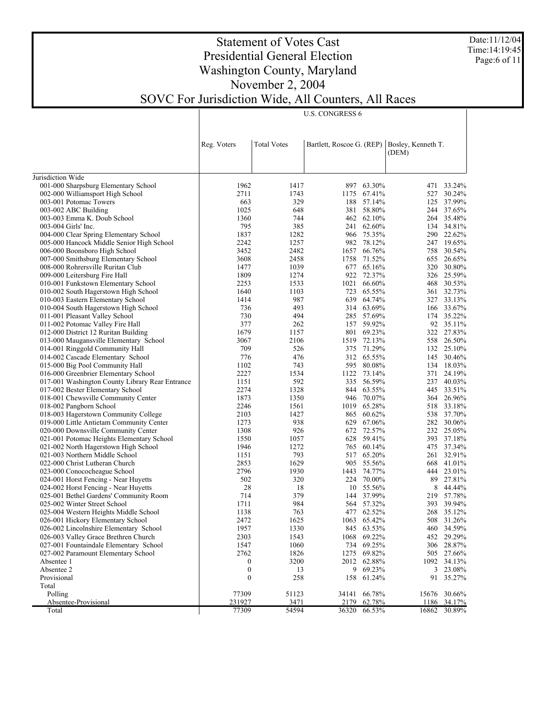Date:11/12/04 Time:14:19:45 Page:6 of 11

# Statement of Votes Cast Presidential General Election Washington County, Maryland November 2, 2004 SOVC For Jurisdiction Wide, All Counters, All Races

| Jurisdiction Wide<br>001-000 Sharpsburg Elementary School<br>1962<br>1417<br>897 63.30%<br>471<br>002-000 Williamsport High School<br>2711<br>1743<br>1175<br>67.41%<br>527<br>329<br>57.14%<br>003-001 Potomac Towers<br>663<br>188<br>125<br>1025<br>648<br>381 58.80%<br>003-002 ABC Building<br>462 62.10%<br>003-003 Emma K. Doub School<br>1360<br>744<br>795<br>385<br>241 62.60%<br>003-004 Girls' Inc.<br>1837<br>1282<br>966 75.35%<br>004-000 Clear Spring Elementary School<br>982 78.12%<br>005-000 Hancock Middle Senior High School<br>2242<br>1257<br>3452<br>2482<br>66.76%<br>006-000 Boonsboro High School<br>1657<br>71.52%<br>007-000 Smithsburg Elementary School<br>3608<br>2458<br>1758<br>1039<br>677 65.16%<br>008-000 Rohrersville Ruritan Club<br>1477<br>1274<br>922 72.37%<br>009-000 Leitersburg Fire Hall<br>1809<br>2253<br>1533<br>66.60%<br>010-001 Funkstown Elementary School<br>1021<br>010-002 South Hagerstown High School<br>1640<br>1103<br>723<br>65.55%<br>987<br>010-003 Eastern Elementary School<br>1414<br>639 64.74%<br>493<br>314 63.69%<br>010-004 South Hagerstown High School<br>736<br>730<br>494<br>285 57.69%<br>011-001 Pleasant Valley School<br>377<br>157 59.92%<br>262<br>011-002 Potomac Valley Fire Hall<br>1679<br>1157<br>801 69.23%<br>012-000 District 12 Ruritan Building<br>1519 72.13%<br>013-000 Maugansville Elementary School<br>3067<br>2106<br>709<br>526<br>375 71.29%<br>014-001 Ringgold Community Hall<br>776<br>476<br>312 65.55%<br>014-002 Cascade Elementary School<br>145<br>743<br>595 80.08%<br>015-000 Big Pool Community Hall<br>1102<br>1534<br>016-000 Greenbrier Elementary School<br>2227<br>1122 73.14%<br>371<br>592<br>335 56.59%<br>017-001 Washington County Library Rear Entrance<br>1151<br>2274<br>1328<br>844 63.55%<br>017-002 Bester Elementary School<br>1873<br>1350<br>946 70.07%<br>018-001 Chewsville Community Center<br>2246<br>65.28%<br>018-002 Pangborn School<br>1561<br>1019<br>1427<br>865 60.62%<br>018-003 Hagerstown Community College<br>2103<br>538<br>938<br>629 67.06%<br>019-000 Little Antietam Community Center<br>1273<br>926<br>672 72.57%<br>020-000 Downsville Community Center<br>1308<br>59.41%<br>021-001 Potomac Heights Elementary School<br>1550<br>1057<br>628<br>1272<br>765 60.14%<br>021-002 North Hagerstown High School<br>1946<br>793<br>517 65.20%<br>021-003 Northern Middle School<br>1151<br>2853<br>1629<br>905 55.56%<br>022-000 Christ Lutheran Church<br>668<br>2796<br>1930<br>1443 74.77%<br>023-000 Conococheague School<br>502<br>320<br>70.00%<br>024-001 Horst Fencing - Near Huyetts<br>224<br>89<br>28<br>10 55.56%<br>024-002 Horst Fencing - Near Huyetts<br>18<br>8<br>714<br>379<br>144 37.99%<br>025-001 Bethel Gardens' Community Room<br>219<br>1711<br>984<br>564 57.32%<br>025-002 Winter Street School<br>393<br>763<br>477 62.52%<br>025-004 Western Heights Middle School<br>1138<br>026-001 Hickory Elementary School<br>2472<br>1625<br>1063 65.42%<br>508<br>1957<br>1330<br>026-002 Lincolnshire Elementary School<br>845 63.53%<br>2303<br>1068 69.22%<br>026-003 Valley Grace Brethren Church<br>1543<br>027-001 Fountaindale Elementary School<br>1547<br>1060<br>734 69.25%<br>027-002 Paramount Elementary School<br>2762<br>1826<br>1275 69.82%<br>3200<br>Absentee 1<br>2012 62.88%<br>0<br>$\boldsymbol{0}$<br>9 69.23%<br>Absentee 2<br>13<br>$\boldsymbol{0}$<br>258<br>Provisional<br>158 61.24%<br>Total<br>77309<br>Polling<br>51123<br>34141<br>66.78%<br>15676<br>231927<br>3471<br>Absentee-Provisional<br>2179<br>62.78%<br>1186 |       | Reg. Voters | <b>Total Votes</b><br>Bartlett, Roscoe G. (REP)<br>Bosley, Kenneth T.<br>(DEM) |       |        |       |        |
|----------------------------------------------------------------------------------------------------------------------------------------------------------------------------------------------------------------------------------------------------------------------------------------------------------------------------------------------------------------------------------------------------------------------------------------------------------------------------------------------------------------------------------------------------------------------------------------------------------------------------------------------------------------------------------------------------------------------------------------------------------------------------------------------------------------------------------------------------------------------------------------------------------------------------------------------------------------------------------------------------------------------------------------------------------------------------------------------------------------------------------------------------------------------------------------------------------------------------------------------------------------------------------------------------------------------------------------------------------------------------------------------------------------------------------------------------------------------------------------------------------------------------------------------------------------------------------------------------------------------------------------------------------------------------------------------------------------------------------------------------------------------------------------------------------------------------------------------------------------------------------------------------------------------------------------------------------------------------------------------------------------------------------------------------------------------------------------------------------------------------------------------------------------------------------------------------------------------------------------------------------------------------------------------------------------------------------------------------------------------------------------------------------------------------------------------------------------------------------------------------------------------------------------------------------------------------------------------------------------------------------------------------------------------------------------------------------------------------------------------------------------------------------------------------------------------------------------------------------------------------------------------------------------------------------------------------------------------------------------------------------------------------------------------------------------------------------------------------------------------------------------------------------------------------------------------------------------------------------------------------------------------------------------------------------------------------------------------------------------------------------------------------------------------------------------------------------------------------------------------------------------------------------------------------------------------------------------------------------------------------------|-------|-------------|--------------------------------------------------------------------------------|-------|--------|-------|--------|
| 33.24%<br>264 35.48%<br>134 34.81%<br>290 22.62%<br>758 30.54%<br>320 30.80%<br>468 30.53%<br>327 33.13%<br>166 33.67%<br>174 35.22%<br>92 35.11%<br>322 27.83%<br>132 25.10%<br>134 18.03%<br>24.19%<br>237 40.03%<br>364 26.96%<br>37.70%<br>232 25.05%<br>475 37.34%<br>261 32.91%<br>41.01%<br>27.81%<br>57.78%<br>268 35.12%<br>460 34.59%                                                                                                                                                                                                                                                                                                                                                                                                                                                                                                                                                                                                                                                                                                                                                                                                                                                                                                                                                                                                                                                                                                                                                                                                                                                                                                                                                                                                                                                                                                                                                                                                                                                                                                                                                                                                                                                                                                                                                                                                                                                                                                                                                                                                                                                                                                                                                                                                                                                                                                                                                                                                                                                                                                                                                                                                                                                                                                                                                                                                                                                                                                                                                                                                                                                                                  |       |             |                                                                                |       |        |       |        |
|                                                                                                                                                                                                                                                                                                                                                                                                                                                                                                                                                                                                                                                                                                                                                                                                                                                                                                                                                                                                                                                                                                                                                                                                                                                                                                                                                                                                                                                                                                                                                                                                                                                                                                                                                                                                                                                                                                                                                                                                                                                                                                                                                                                                                                                                                                                                                                                                                                                                                                                                                                                                                                                                                                                                                                                                                                                                                                                                                                                                                                                                                                                                                                                                                                                                                                                                                                                                                                                                                                                                                                                                                                  |       |             |                                                                                |       |        |       |        |
| 30.24%<br>37.99%<br>244 37.65%<br>247 19.65%<br>655 26.65%<br>326 25.59%<br>361 32.73%<br>558 26.50%<br>30.46%<br>445 33.51%<br>518 33.18%<br>282 30.06%<br>393 37.18%<br>444 23.01%<br>44.44%<br>39.94%<br>31.26%<br>452 29.29%<br>306 28.87%<br>91 35.27%<br>30.66%                                                                                                                                                                                                                                                                                                                                                                                                                                                                                                                                                                                                                                                                                                                                                                                                                                                                                                                                                                                                                                                                                                                                                                                                                                                                                                                                                                                                                                                                                                                                                                                                                                                                                                                                                                                                                                                                                                                                                                                                                                                                                                                                                                                                                                                                                                                                                                                                                                                                                                                                                                                                                                                                                                                                                                                                                                                                                                                                                                                                                                                                                                                                                                                                                                                                                                                                                            |       |             |                                                                                |       |        |       |        |
|                                                                                                                                                                                                                                                                                                                                                                                                                                                                                                                                                                                                                                                                                                                                                                                                                                                                                                                                                                                                                                                                                                                                                                                                                                                                                                                                                                                                                                                                                                                                                                                                                                                                                                                                                                                                                                                                                                                                                                                                                                                                                                                                                                                                                                                                                                                                                                                                                                                                                                                                                                                                                                                                                                                                                                                                                                                                                                                                                                                                                                                                                                                                                                                                                                                                                                                                                                                                                                                                                                                                                                                                                                  |       |             |                                                                                |       |        |       |        |
|                                                                                                                                                                                                                                                                                                                                                                                                                                                                                                                                                                                                                                                                                                                                                                                                                                                                                                                                                                                                                                                                                                                                                                                                                                                                                                                                                                                                                                                                                                                                                                                                                                                                                                                                                                                                                                                                                                                                                                                                                                                                                                                                                                                                                                                                                                                                                                                                                                                                                                                                                                                                                                                                                                                                                                                                                                                                                                                                                                                                                                                                                                                                                                                                                                                                                                                                                                                                                                                                                                                                                                                                                                  |       |             |                                                                                |       |        |       |        |
|                                                                                                                                                                                                                                                                                                                                                                                                                                                                                                                                                                                                                                                                                                                                                                                                                                                                                                                                                                                                                                                                                                                                                                                                                                                                                                                                                                                                                                                                                                                                                                                                                                                                                                                                                                                                                                                                                                                                                                                                                                                                                                                                                                                                                                                                                                                                                                                                                                                                                                                                                                                                                                                                                                                                                                                                                                                                                                                                                                                                                                                                                                                                                                                                                                                                                                                                                                                                                                                                                                                                                                                                                                  |       |             |                                                                                |       |        |       |        |
| 505 27.66%<br>1092 34.13%<br>3 23.08%                                                                                                                                                                                                                                                                                                                                                                                                                                                                                                                                                                                                                                                                                                                                                                                                                                                                                                                                                                                                                                                                                                                                                                                                                                                                                                                                                                                                                                                                                                                                                                                                                                                                                                                                                                                                                                                                                                                                                                                                                                                                                                                                                                                                                                                                                                                                                                                                                                                                                                                                                                                                                                                                                                                                                                                                                                                                                                                                                                                                                                                                                                                                                                                                                                                                                                                                                                                                                                                                                                                                                                                            |       |             |                                                                                |       |        |       |        |
|                                                                                                                                                                                                                                                                                                                                                                                                                                                                                                                                                                                                                                                                                                                                                                                                                                                                                                                                                                                                                                                                                                                                                                                                                                                                                                                                                                                                                                                                                                                                                                                                                                                                                                                                                                                                                                                                                                                                                                                                                                                                                                                                                                                                                                                                                                                                                                                                                                                                                                                                                                                                                                                                                                                                                                                                                                                                                                                                                                                                                                                                                                                                                                                                                                                                                                                                                                                                                                                                                                                                                                                                                                  |       |             |                                                                                |       |        |       |        |
|                                                                                                                                                                                                                                                                                                                                                                                                                                                                                                                                                                                                                                                                                                                                                                                                                                                                                                                                                                                                                                                                                                                                                                                                                                                                                                                                                                                                                                                                                                                                                                                                                                                                                                                                                                                                                                                                                                                                                                                                                                                                                                                                                                                                                                                                                                                                                                                                                                                                                                                                                                                                                                                                                                                                                                                                                                                                                                                                                                                                                                                                                                                                                                                                                                                                                                                                                                                                                                                                                                                                                                                                                                  |       |             |                                                                                |       |        |       |        |
|                                                                                                                                                                                                                                                                                                                                                                                                                                                                                                                                                                                                                                                                                                                                                                                                                                                                                                                                                                                                                                                                                                                                                                                                                                                                                                                                                                                                                                                                                                                                                                                                                                                                                                                                                                                                                                                                                                                                                                                                                                                                                                                                                                                                                                                                                                                                                                                                                                                                                                                                                                                                                                                                                                                                                                                                                                                                                                                                                                                                                                                                                                                                                                                                                                                                                                                                                                                                                                                                                                                                                                                                                                  |       |             |                                                                                |       |        |       |        |
|                                                                                                                                                                                                                                                                                                                                                                                                                                                                                                                                                                                                                                                                                                                                                                                                                                                                                                                                                                                                                                                                                                                                                                                                                                                                                                                                                                                                                                                                                                                                                                                                                                                                                                                                                                                                                                                                                                                                                                                                                                                                                                                                                                                                                                                                                                                                                                                                                                                                                                                                                                                                                                                                                                                                                                                                                                                                                                                                                                                                                                                                                                                                                                                                                                                                                                                                                                                                                                                                                                                                                                                                                                  |       |             |                                                                                |       |        |       |        |
|                                                                                                                                                                                                                                                                                                                                                                                                                                                                                                                                                                                                                                                                                                                                                                                                                                                                                                                                                                                                                                                                                                                                                                                                                                                                                                                                                                                                                                                                                                                                                                                                                                                                                                                                                                                                                                                                                                                                                                                                                                                                                                                                                                                                                                                                                                                                                                                                                                                                                                                                                                                                                                                                                                                                                                                                                                                                                                                                                                                                                                                                                                                                                                                                                                                                                                                                                                                                                                                                                                                                                                                                                                  |       |             |                                                                                |       |        |       |        |
|                                                                                                                                                                                                                                                                                                                                                                                                                                                                                                                                                                                                                                                                                                                                                                                                                                                                                                                                                                                                                                                                                                                                                                                                                                                                                                                                                                                                                                                                                                                                                                                                                                                                                                                                                                                                                                                                                                                                                                                                                                                                                                                                                                                                                                                                                                                                                                                                                                                                                                                                                                                                                                                                                                                                                                                                                                                                                                                                                                                                                                                                                                                                                                                                                                                                                                                                                                                                                                                                                                                                                                                                                                  |       |             |                                                                                |       |        |       |        |
|                                                                                                                                                                                                                                                                                                                                                                                                                                                                                                                                                                                                                                                                                                                                                                                                                                                                                                                                                                                                                                                                                                                                                                                                                                                                                                                                                                                                                                                                                                                                                                                                                                                                                                                                                                                                                                                                                                                                                                                                                                                                                                                                                                                                                                                                                                                                                                                                                                                                                                                                                                                                                                                                                                                                                                                                                                                                                                                                                                                                                                                                                                                                                                                                                                                                                                                                                                                                                                                                                                                                                                                                                                  |       |             |                                                                                |       |        |       |        |
|                                                                                                                                                                                                                                                                                                                                                                                                                                                                                                                                                                                                                                                                                                                                                                                                                                                                                                                                                                                                                                                                                                                                                                                                                                                                                                                                                                                                                                                                                                                                                                                                                                                                                                                                                                                                                                                                                                                                                                                                                                                                                                                                                                                                                                                                                                                                                                                                                                                                                                                                                                                                                                                                                                                                                                                                                                                                                                                                                                                                                                                                                                                                                                                                                                                                                                                                                                                                                                                                                                                                                                                                                                  |       |             |                                                                                |       |        |       |        |
|                                                                                                                                                                                                                                                                                                                                                                                                                                                                                                                                                                                                                                                                                                                                                                                                                                                                                                                                                                                                                                                                                                                                                                                                                                                                                                                                                                                                                                                                                                                                                                                                                                                                                                                                                                                                                                                                                                                                                                                                                                                                                                                                                                                                                                                                                                                                                                                                                                                                                                                                                                                                                                                                                                                                                                                                                                                                                                                                                                                                                                                                                                                                                                                                                                                                                                                                                                                                                                                                                                                                                                                                                                  |       |             |                                                                                |       |        |       |        |
|                                                                                                                                                                                                                                                                                                                                                                                                                                                                                                                                                                                                                                                                                                                                                                                                                                                                                                                                                                                                                                                                                                                                                                                                                                                                                                                                                                                                                                                                                                                                                                                                                                                                                                                                                                                                                                                                                                                                                                                                                                                                                                                                                                                                                                                                                                                                                                                                                                                                                                                                                                                                                                                                                                                                                                                                                                                                                                                                                                                                                                                                                                                                                                                                                                                                                                                                                                                                                                                                                                                                                                                                                                  |       |             |                                                                                |       |        |       |        |
|                                                                                                                                                                                                                                                                                                                                                                                                                                                                                                                                                                                                                                                                                                                                                                                                                                                                                                                                                                                                                                                                                                                                                                                                                                                                                                                                                                                                                                                                                                                                                                                                                                                                                                                                                                                                                                                                                                                                                                                                                                                                                                                                                                                                                                                                                                                                                                                                                                                                                                                                                                                                                                                                                                                                                                                                                                                                                                                                                                                                                                                                                                                                                                                                                                                                                                                                                                                                                                                                                                                                                                                                                                  |       |             |                                                                                |       |        |       |        |
|                                                                                                                                                                                                                                                                                                                                                                                                                                                                                                                                                                                                                                                                                                                                                                                                                                                                                                                                                                                                                                                                                                                                                                                                                                                                                                                                                                                                                                                                                                                                                                                                                                                                                                                                                                                                                                                                                                                                                                                                                                                                                                                                                                                                                                                                                                                                                                                                                                                                                                                                                                                                                                                                                                                                                                                                                                                                                                                                                                                                                                                                                                                                                                                                                                                                                                                                                                                                                                                                                                                                                                                                                                  |       |             |                                                                                |       |        |       |        |
|                                                                                                                                                                                                                                                                                                                                                                                                                                                                                                                                                                                                                                                                                                                                                                                                                                                                                                                                                                                                                                                                                                                                                                                                                                                                                                                                                                                                                                                                                                                                                                                                                                                                                                                                                                                                                                                                                                                                                                                                                                                                                                                                                                                                                                                                                                                                                                                                                                                                                                                                                                                                                                                                                                                                                                                                                                                                                                                                                                                                                                                                                                                                                                                                                                                                                                                                                                                                                                                                                                                                                                                                                                  |       |             |                                                                                |       |        |       |        |
|                                                                                                                                                                                                                                                                                                                                                                                                                                                                                                                                                                                                                                                                                                                                                                                                                                                                                                                                                                                                                                                                                                                                                                                                                                                                                                                                                                                                                                                                                                                                                                                                                                                                                                                                                                                                                                                                                                                                                                                                                                                                                                                                                                                                                                                                                                                                                                                                                                                                                                                                                                                                                                                                                                                                                                                                                                                                                                                                                                                                                                                                                                                                                                                                                                                                                                                                                                                                                                                                                                                                                                                                                                  |       |             |                                                                                |       |        |       |        |
|                                                                                                                                                                                                                                                                                                                                                                                                                                                                                                                                                                                                                                                                                                                                                                                                                                                                                                                                                                                                                                                                                                                                                                                                                                                                                                                                                                                                                                                                                                                                                                                                                                                                                                                                                                                                                                                                                                                                                                                                                                                                                                                                                                                                                                                                                                                                                                                                                                                                                                                                                                                                                                                                                                                                                                                                                                                                                                                                                                                                                                                                                                                                                                                                                                                                                                                                                                                                                                                                                                                                                                                                                                  |       |             |                                                                                |       |        |       |        |
|                                                                                                                                                                                                                                                                                                                                                                                                                                                                                                                                                                                                                                                                                                                                                                                                                                                                                                                                                                                                                                                                                                                                                                                                                                                                                                                                                                                                                                                                                                                                                                                                                                                                                                                                                                                                                                                                                                                                                                                                                                                                                                                                                                                                                                                                                                                                                                                                                                                                                                                                                                                                                                                                                                                                                                                                                                                                                                                                                                                                                                                                                                                                                                                                                                                                                                                                                                                                                                                                                                                                                                                                                                  |       |             |                                                                                |       |        |       |        |
|                                                                                                                                                                                                                                                                                                                                                                                                                                                                                                                                                                                                                                                                                                                                                                                                                                                                                                                                                                                                                                                                                                                                                                                                                                                                                                                                                                                                                                                                                                                                                                                                                                                                                                                                                                                                                                                                                                                                                                                                                                                                                                                                                                                                                                                                                                                                                                                                                                                                                                                                                                                                                                                                                                                                                                                                                                                                                                                                                                                                                                                                                                                                                                                                                                                                                                                                                                                                                                                                                                                                                                                                                                  |       |             |                                                                                |       |        |       |        |
|                                                                                                                                                                                                                                                                                                                                                                                                                                                                                                                                                                                                                                                                                                                                                                                                                                                                                                                                                                                                                                                                                                                                                                                                                                                                                                                                                                                                                                                                                                                                                                                                                                                                                                                                                                                                                                                                                                                                                                                                                                                                                                                                                                                                                                                                                                                                                                                                                                                                                                                                                                                                                                                                                                                                                                                                                                                                                                                                                                                                                                                                                                                                                                                                                                                                                                                                                                                                                                                                                                                                                                                                                                  |       |             |                                                                                |       |        |       |        |
|                                                                                                                                                                                                                                                                                                                                                                                                                                                                                                                                                                                                                                                                                                                                                                                                                                                                                                                                                                                                                                                                                                                                                                                                                                                                                                                                                                                                                                                                                                                                                                                                                                                                                                                                                                                                                                                                                                                                                                                                                                                                                                                                                                                                                                                                                                                                                                                                                                                                                                                                                                                                                                                                                                                                                                                                                                                                                                                                                                                                                                                                                                                                                                                                                                                                                                                                                                                                                                                                                                                                                                                                                                  |       |             |                                                                                |       |        |       |        |
|                                                                                                                                                                                                                                                                                                                                                                                                                                                                                                                                                                                                                                                                                                                                                                                                                                                                                                                                                                                                                                                                                                                                                                                                                                                                                                                                                                                                                                                                                                                                                                                                                                                                                                                                                                                                                                                                                                                                                                                                                                                                                                                                                                                                                                                                                                                                                                                                                                                                                                                                                                                                                                                                                                                                                                                                                                                                                                                                                                                                                                                                                                                                                                                                                                                                                                                                                                                                                                                                                                                                                                                                                                  |       |             |                                                                                |       |        |       |        |
|                                                                                                                                                                                                                                                                                                                                                                                                                                                                                                                                                                                                                                                                                                                                                                                                                                                                                                                                                                                                                                                                                                                                                                                                                                                                                                                                                                                                                                                                                                                                                                                                                                                                                                                                                                                                                                                                                                                                                                                                                                                                                                                                                                                                                                                                                                                                                                                                                                                                                                                                                                                                                                                                                                                                                                                                                                                                                                                                                                                                                                                                                                                                                                                                                                                                                                                                                                                                                                                                                                                                                                                                                                  |       |             |                                                                                |       |        |       |        |
|                                                                                                                                                                                                                                                                                                                                                                                                                                                                                                                                                                                                                                                                                                                                                                                                                                                                                                                                                                                                                                                                                                                                                                                                                                                                                                                                                                                                                                                                                                                                                                                                                                                                                                                                                                                                                                                                                                                                                                                                                                                                                                                                                                                                                                                                                                                                                                                                                                                                                                                                                                                                                                                                                                                                                                                                                                                                                                                                                                                                                                                                                                                                                                                                                                                                                                                                                                                                                                                                                                                                                                                                                                  |       |             |                                                                                |       |        |       |        |
|                                                                                                                                                                                                                                                                                                                                                                                                                                                                                                                                                                                                                                                                                                                                                                                                                                                                                                                                                                                                                                                                                                                                                                                                                                                                                                                                                                                                                                                                                                                                                                                                                                                                                                                                                                                                                                                                                                                                                                                                                                                                                                                                                                                                                                                                                                                                                                                                                                                                                                                                                                                                                                                                                                                                                                                                                                                                                                                                                                                                                                                                                                                                                                                                                                                                                                                                                                                                                                                                                                                                                                                                                                  |       |             |                                                                                |       |        |       |        |
|                                                                                                                                                                                                                                                                                                                                                                                                                                                                                                                                                                                                                                                                                                                                                                                                                                                                                                                                                                                                                                                                                                                                                                                                                                                                                                                                                                                                                                                                                                                                                                                                                                                                                                                                                                                                                                                                                                                                                                                                                                                                                                                                                                                                                                                                                                                                                                                                                                                                                                                                                                                                                                                                                                                                                                                                                                                                                                                                                                                                                                                                                                                                                                                                                                                                                                                                                                                                                                                                                                                                                                                                                                  |       |             |                                                                                |       |        |       |        |
|                                                                                                                                                                                                                                                                                                                                                                                                                                                                                                                                                                                                                                                                                                                                                                                                                                                                                                                                                                                                                                                                                                                                                                                                                                                                                                                                                                                                                                                                                                                                                                                                                                                                                                                                                                                                                                                                                                                                                                                                                                                                                                                                                                                                                                                                                                                                                                                                                                                                                                                                                                                                                                                                                                                                                                                                                                                                                                                                                                                                                                                                                                                                                                                                                                                                                                                                                                                                                                                                                                                                                                                                                                  |       |             |                                                                                |       |        |       |        |
|                                                                                                                                                                                                                                                                                                                                                                                                                                                                                                                                                                                                                                                                                                                                                                                                                                                                                                                                                                                                                                                                                                                                                                                                                                                                                                                                                                                                                                                                                                                                                                                                                                                                                                                                                                                                                                                                                                                                                                                                                                                                                                                                                                                                                                                                                                                                                                                                                                                                                                                                                                                                                                                                                                                                                                                                                                                                                                                                                                                                                                                                                                                                                                                                                                                                                                                                                                                                                                                                                                                                                                                                                                  |       |             |                                                                                |       |        |       |        |
|                                                                                                                                                                                                                                                                                                                                                                                                                                                                                                                                                                                                                                                                                                                                                                                                                                                                                                                                                                                                                                                                                                                                                                                                                                                                                                                                                                                                                                                                                                                                                                                                                                                                                                                                                                                                                                                                                                                                                                                                                                                                                                                                                                                                                                                                                                                                                                                                                                                                                                                                                                                                                                                                                                                                                                                                                                                                                                                                                                                                                                                                                                                                                                                                                                                                                                                                                                                                                                                                                                                                                                                                                                  |       |             |                                                                                |       |        |       |        |
|                                                                                                                                                                                                                                                                                                                                                                                                                                                                                                                                                                                                                                                                                                                                                                                                                                                                                                                                                                                                                                                                                                                                                                                                                                                                                                                                                                                                                                                                                                                                                                                                                                                                                                                                                                                                                                                                                                                                                                                                                                                                                                                                                                                                                                                                                                                                                                                                                                                                                                                                                                                                                                                                                                                                                                                                                                                                                                                                                                                                                                                                                                                                                                                                                                                                                                                                                                                                                                                                                                                                                                                                                                  |       |             |                                                                                |       |        |       |        |
|                                                                                                                                                                                                                                                                                                                                                                                                                                                                                                                                                                                                                                                                                                                                                                                                                                                                                                                                                                                                                                                                                                                                                                                                                                                                                                                                                                                                                                                                                                                                                                                                                                                                                                                                                                                                                                                                                                                                                                                                                                                                                                                                                                                                                                                                                                                                                                                                                                                                                                                                                                                                                                                                                                                                                                                                                                                                                                                                                                                                                                                                                                                                                                                                                                                                                                                                                                                                                                                                                                                                                                                                                                  |       |             |                                                                                |       |        |       |        |
|                                                                                                                                                                                                                                                                                                                                                                                                                                                                                                                                                                                                                                                                                                                                                                                                                                                                                                                                                                                                                                                                                                                                                                                                                                                                                                                                                                                                                                                                                                                                                                                                                                                                                                                                                                                                                                                                                                                                                                                                                                                                                                                                                                                                                                                                                                                                                                                                                                                                                                                                                                                                                                                                                                                                                                                                                                                                                                                                                                                                                                                                                                                                                                                                                                                                                                                                                                                                                                                                                                                                                                                                                                  |       |             |                                                                                |       |        |       |        |
|                                                                                                                                                                                                                                                                                                                                                                                                                                                                                                                                                                                                                                                                                                                                                                                                                                                                                                                                                                                                                                                                                                                                                                                                                                                                                                                                                                                                                                                                                                                                                                                                                                                                                                                                                                                                                                                                                                                                                                                                                                                                                                                                                                                                                                                                                                                                                                                                                                                                                                                                                                                                                                                                                                                                                                                                                                                                                                                                                                                                                                                                                                                                                                                                                                                                                                                                                                                                                                                                                                                                                                                                                                  |       |             |                                                                                |       |        |       |        |
|                                                                                                                                                                                                                                                                                                                                                                                                                                                                                                                                                                                                                                                                                                                                                                                                                                                                                                                                                                                                                                                                                                                                                                                                                                                                                                                                                                                                                                                                                                                                                                                                                                                                                                                                                                                                                                                                                                                                                                                                                                                                                                                                                                                                                                                                                                                                                                                                                                                                                                                                                                                                                                                                                                                                                                                                                                                                                                                                                                                                                                                                                                                                                                                                                                                                                                                                                                                                                                                                                                                                                                                                                                  |       |             |                                                                                |       |        |       |        |
|                                                                                                                                                                                                                                                                                                                                                                                                                                                                                                                                                                                                                                                                                                                                                                                                                                                                                                                                                                                                                                                                                                                                                                                                                                                                                                                                                                                                                                                                                                                                                                                                                                                                                                                                                                                                                                                                                                                                                                                                                                                                                                                                                                                                                                                                                                                                                                                                                                                                                                                                                                                                                                                                                                                                                                                                                                                                                                                                                                                                                                                                                                                                                                                                                                                                                                                                                                                                                                                                                                                                                                                                                                  |       |             |                                                                                |       |        |       |        |
|                                                                                                                                                                                                                                                                                                                                                                                                                                                                                                                                                                                                                                                                                                                                                                                                                                                                                                                                                                                                                                                                                                                                                                                                                                                                                                                                                                                                                                                                                                                                                                                                                                                                                                                                                                                                                                                                                                                                                                                                                                                                                                                                                                                                                                                                                                                                                                                                                                                                                                                                                                                                                                                                                                                                                                                                                                                                                                                                                                                                                                                                                                                                                                                                                                                                                                                                                                                                                                                                                                                                                                                                                                  |       |             |                                                                                |       |        |       |        |
|                                                                                                                                                                                                                                                                                                                                                                                                                                                                                                                                                                                                                                                                                                                                                                                                                                                                                                                                                                                                                                                                                                                                                                                                                                                                                                                                                                                                                                                                                                                                                                                                                                                                                                                                                                                                                                                                                                                                                                                                                                                                                                                                                                                                                                                                                                                                                                                                                                                                                                                                                                                                                                                                                                                                                                                                                                                                                                                                                                                                                                                                                                                                                                                                                                                                                                                                                                                                                                                                                                                                                                                                                                  |       |             |                                                                                |       |        |       |        |
|                                                                                                                                                                                                                                                                                                                                                                                                                                                                                                                                                                                                                                                                                                                                                                                                                                                                                                                                                                                                                                                                                                                                                                                                                                                                                                                                                                                                                                                                                                                                                                                                                                                                                                                                                                                                                                                                                                                                                                                                                                                                                                                                                                                                                                                                                                                                                                                                                                                                                                                                                                                                                                                                                                                                                                                                                                                                                                                                                                                                                                                                                                                                                                                                                                                                                                                                                                                                                                                                                                                                                                                                                                  |       |             |                                                                                |       |        |       |        |
| 34.17%                                                                                                                                                                                                                                                                                                                                                                                                                                                                                                                                                                                                                                                                                                                                                                                                                                                                                                                                                                                                                                                                                                                                                                                                                                                                                                                                                                                                                                                                                                                                                                                                                                                                                                                                                                                                                                                                                                                                                                                                                                                                                                                                                                                                                                                                                                                                                                                                                                                                                                                                                                                                                                                                                                                                                                                                                                                                                                                                                                                                                                                                                                                                                                                                                                                                                                                                                                                                                                                                                                                                                                                                                           |       |             |                                                                                |       |        |       |        |
|                                                                                                                                                                                                                                                                                                                                                                                                                                                                                                                                                                                                                                                                                                                                                                                                                                                                                                                                                                                                                                                                                                                                                                                                                                                                                                                                                                                                                                                                                                                                                                                                                                                                                                                                                                                                                                                                                                                                                                                                                                                                                                                                                                                                                                                                                                                                                                                                                                                                                                                                                                                                                                                                                                                                                                                                                                                                                                                                                                                                                                                                                                                                                                                                                                                                                                                                                                                                                                                                                                                                                                                                                                  |       |             |                                                                                |       |        |       |        |
|                                                                                                                                                                                                                                                                                                                                                                                                                                                                                                                                                                                                                                                                                                                                                                                                                                                                                                                                                                                                                                                                                                                                                                                                                                                                                                                                                                                                                                                                                                                                                                                                                                                                                                                                                                                                                                                                                                                                                                                                                                                                                                                                                                                                                                                                                                                                                                                                                                                                                                                                                                                                                                                                                                                                                                                                                                                                                                                                                                                                                                                                                                                                                                                                                                                                                                                                                                                                                                                                                                                                                                                                                                  |       |             |                                                                                |       |        |       |        |
|                                                                                                                                                                                                                                                                                                                                                                                                                                                                                                                                                                                                                                                                                                                                                                                                                                                                                                                                                                                                                                                                                                                                                                                                                                                                                                                                                                                                                                                                                                                                                                                                                                                                                                                                                                                                                                                                                                                                                                                                                                                                                                                                                                                                                                                                                                                                                                                                                                                                                                                                                                                                                                                                                                                                                                                                                                                                                                                                                                                                                                                                                                                                                                                                                                                                                                                                                                                                                                                                                                                                                                                                                                  |       |             |                                                                                |       |        |       |        |
|                                                                                                                                                                                                                                                                                                                                                                                                                                                                                                                                                                                                                                                                                                                                                                                                                                                                                                                                                                                                                                                                                                                                                                                                                                                                                                                                                                                                                                                                                                                                                                                                                                                                                                                                                                                                                                                                                                                                                                                                                                                                                                                                                                                                                                                                                                                                                                                                                                                                                                                                                                                                                                                                                                                                                                                                                                                                                                                                                                                                                                                                                                                                                                                                                                                                                                                                                                                                                                                                                                                                                                                                                                  |       |             |                                                                                |       |        |       |        |
|                                                                                                                                                                                                                                                                                                                                                                                                                                                                                                                                                                                                                                                                                                                                                                                                                                                                                                                                                                                                                                                                                                                                                                                                                                                                                                                                                                                                                                                                                                                                                                                                                                                                                                                                                                                                                                                                                                                                                                                                                                                                                                                                                                                                                                                                                                                                                                                                                                                                                                                                                                                                                                                                                                                                                                                                                                                                                                                                                                                                                                                                                                                                                                                                                                                                                                                                                                                                                                                                                                                                                                                                                                  |       |             |                                                                                |       |        |       |        |
|                                                                                                                                                                                                                                                                                                                                                                                                                                                                                                                                                                                                                                                                                                                                                                                                                                                                                                                                                                                                                                                                                                                                                                                                                                                                                                                                                                                                                                                                                                                                                                                                                                                                                                                                                                                                                                                                                                                                                                                                                                                                                                                                                                                                                                                                                                                                                                                                                                                                                                                                                                                                                                                                                                                                                                                                                                                                                                                                                                                                                                                                                                                                                                                                                                                                                                                                                                                                                                                                                                                                                                                                                                  |       |             |                                                                                |       |        |       |        |
|                                                                                                                                                                                                                                                                                                                                                                                                                                                                                                                                                                                                                                                                                                                                                                                                                                                                                                                                                                                                                                                                                                                                                                                                                                                                                                                                                                                                                                                                                                                                                                                                                                                                                                                                                                                                                                                                                                                                                                                                                                                                                                                                                                                                                                                                                                                                                                                                                                                                                                                                                                                                                                                                                                                                                                                                                                                                                                                                                                                                                                                                                                                                                                                                                                                                                                                                                                                                                                                                                                                                                                                                                                  |       |             |                                                                                |       |        |       |        |
|                                                                                                                                                                                                                                                                                                                                                                                                                                                                                                                                                                                                                                                                                                                                                                                                                                                                                                                                                                                                                                                                                                                                                                                                                                                                                                                                                                                                                                                                                                                                                                                                                                                                                                                                                                                                                                                                                                                                                                                                                                                                                                                                                                                                                                                                                                                                                                                                                                                                                                                                                                                                                                                                                                                                                                                                                                                                                                                                                                                                                                                                                                                                                                                                                                                                                                                                                                                                                                                                                                                                                                                                                                  |       |             |                                                                                |       |        |       |        |
|                                                                                                                                                                                                                                                                                                                                                                                                                                                                                                                                                                                                                                                                                                                                                                                                                                                                                                                                                                                                                                                                                                                                                                                                                                                                                                                                                                                                                                                                                                                                                                                                                                                                                                                                                                                                                                                                                                                                                                                                                                                                                                                                                                                                                                                                                                                                                                                                                                                                                                                                                                                                                                                                                                                                                                                                                                                                                                                                                                                                                                                                                                                                                                                                                                                                                                                                                                                                                                                                                                                                                                                                                                  |       |             |                                                                                |       |        |       |        |
|                                                                                                                                                                                                                                                                                                                                                                                                                                                                                                                                                                                                                                                                                                                                                                                                                                                                                                                                                                                                                                                                                                                                                                                                                                                                                                                                                                                                                                                                                                                                                                                                                                                                                                                                                                                                                                                                                                                                                                                                                                                                                                                                                                                                                                                                                                                                                                                                                                                                                                                                                                                                                                                                                                                                                                                                                                                                                                                                                                                                                                                                                                                                                                                                                                                                                                                                                                                                                                                                                                                                                                                                                                  | Total | 77309       | 54594                                                                          | 36320 | 66.53% | 16862 | 30.89% |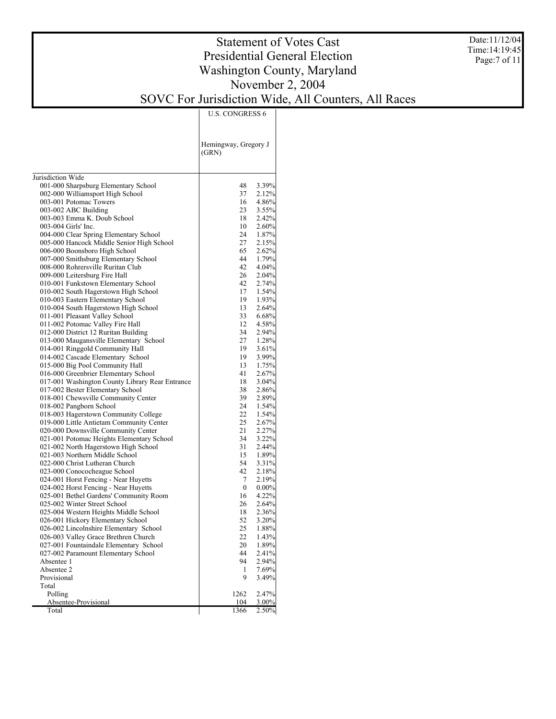Date:11/12/04 Time:14:19:45 Page:7 of 11

# Statement of Votes Cast Presidential General Election Washington County, Maryland November 2, 2004

#### SOVC For Jurisdiction Wide, All Counters, All Races

U.S. CONGRESS 6

|                                                                                     | Hemingway, Gregory J<br>(GRN) |                |
|-------------------------------------------------------------------------------------|-------------------------------|----------------|
|                                                                                     |                               |                |
| Jurisdiction Wide                                                                   |                               |                |
| 001-000 Sharpsburg Elementary School                                                | 48                            | 3.39%          |
| 002-000 Williamsport High School                                                    | 37                            | 2.12%          |
| 003-001 Potomac Towers                                                              | 16                            | 4.86%          |
| 003-002 ABC Building                                                                | 23                            | $3.55\%$       |
| 003-003 Emma K. Doub School                                                         | 18                            | 2.42%          |
| 003-004 Girls' Inc.                                                                 | 10<br>24                      | 2.60%<br>1.87% |
| 004-000 Clear Spring Elementary School<br>005-000 Hancock Middle Senior High School | 27                            |                |
| 006-000 Boonsboro High School                                                       | 65                            | 2.15%<br>2.62% |
|                                                                                     | 44                            | 1.79%          |
| 007-000 Smithsburg Elementary School<br>008-000 Rohrersville Ruritan Club           | 42                            | 4.04%          |
| 009-000 Leitersburg Fire Hall                                                       | 26                            | $2.04\%$       |
| 010-001 Funkstown Elementary School                                                 | 42                            | 2.74%          |
| 010-002 South Hagerstown High School                                                | 17                            | 1.54%          |
| 010-003 Eastern Elementary School                                                   | 19                            | 1.93%          |
| 010-004 South Hagerstown High School                                                | 13                            | 2.64%          |
| 011-001 Pleasant Valley School                                                      | 33                            | 6.68%          |
| 011-002 Potomac Valley Fire Hall                                                    | 12                            | 4.58%          |
| 012-000 District 12 Ruritan Building                                                | 34                            | 2.94%          |
| 013-000 Maugansville Elementary School                                              | 27                            | 1.28%          |
| 014-001 Ringgold Community Hall                                                     | 19                            | 3.61%          |
| 014-002 Cascade Elementary School                                                   | 19                            | $3.99\%$       |
| 015-000 Big Pool Community Hall                                                     | 13                            | 1.75%          |
| 016-000 Greenbrier Elementary School                                                | 41                            | 2.67%          |
| 017-001 Washington County Library Rear Entrance                                     | 18                            | $3.04\%$       |
| 017-002 Bester Elementary School                                                    | 38                            | 2.86%          |
| 018-001 Chewsville Community Center                                                 | 39                            | 2.89%          |
| 018-002 Pangborn School                                                             | 24                            | 1.54%          |
| 018-003 Hagerstown Community College                                                | 22                            | 1.54%          |
| 019-000 Little Antietam Community Center                                            | 25                            | 2.67%          |
| 020-000 Downsville Community Center                                                 | 21                            | 2.27%          |
| 021-001 Potomac Heights Elementary School                                           | 34                            | $3.22\%$       |
| 021-002 North Hagerstown High School                                                | 31                            | 2.44%          |
| 021-003 Northern Middle School                                                      | 15                            | 1.89%          |
| 022-000 Christ Lutheran Church                                                      | 54                            | 3.31%          |
| 023-000 Conococheague School                                                        | 42                            | 2.18%          |
| 024-001 Horst Fencing - Near Huyetts                                                | 7                             | 2.19%          |
| 024-002 Horst Fencing - Near Huyetts                                                | $\mathbf{0}$                  | $0.00\%$       |
| 025-001 Bethel Gardens' Community Room                                              | 16                            | 4.22%          |
| 025-002 Winter Street School                                                        | 26                            | 2.64%          |
| 025-004 Western Heights Middle School                                               | 18                            | $2.36\%$       |
| 026-001 Hickory Elementary School                                                   | 52                            | $3.20\%$       |
| 026-002 Lincolnshire Elementary School                                              | 25                            | 1.88%          |
| 026-003 Valley Grace Brethren Church                                                | 22                            | 1.43%          |
| 027-001 Fountaindale Elementary School                                              | 20                            | 1.89%          |
| 027-002 Paramount Elementary School                                                 | 44                            | 2.41%          |
| Absentee 1                                                                          | 94                            | 2.94%          |
| Absentee 2                                                                          | 1                             | 7.69%          |
| Provisional                                                                         | 9                             | 3.49%          |
| Total                                                                               |                               |                |
| Polling                                                                             | 1262                          | 2.47%          |
| Absentee-Provisional                                                                | 104                           | $3.00\%$       |
| Total                                                                               | 1366                          | 2.50%          |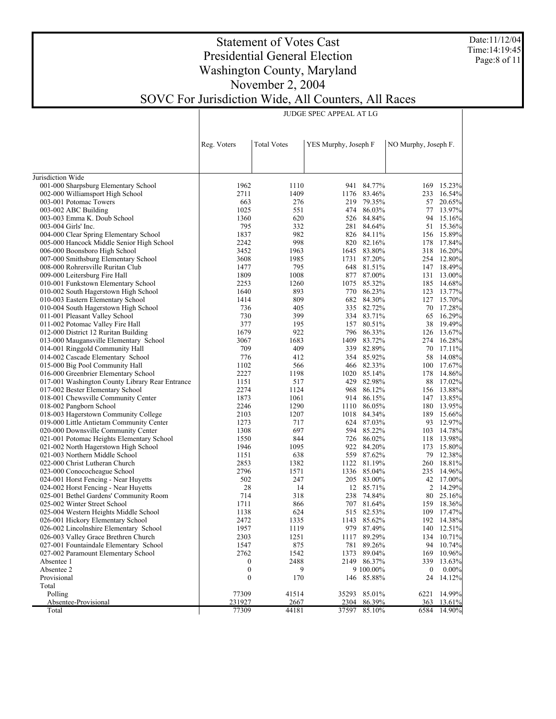Date:11/12/04 Time:14:19:45 Page:8 of 11

### Statement of Votes Cast Presidential General Election Washington County, Maryland November 2, 2004 SOVC For Jurisdiction Wide, All Counters, All Races

JUDGE SPEC APPEAL AT LG

|                                                                           | Reg. Voters           | <b>Total Votes</b><br>YES Murphy, Joseph F |       | NO Murphy, Joseph F.    |           |                    |
|---------------------------------------------------------------------------|-----------------------|--------------------------------------------|-------|-------------------------|-----------|--------------------|
|                                                                           |                       |                                            |       |                         |           |                    |
| Jurisdiction Wide                                                         |                       |                                            |       |                         |           |                    |
| 001-000 Sharpsburg Elementary School                                      | 1962                  | 1110                                       |       | 941 84.77%              | 169       | 15.23%             |
| 002-000 Williamsport High School                                          | 2711                  | 1409                                       |       | 1176 83.46%             | 233       | 16.54%             |
| 003-001 Potomac Towers                                                    | 663                   | 276                                        | 219   | 79.35%                  | 57        | 20.65%             |
| 003-002 ABC Building                                                      | 1025                  | 551                                        |       | 474 86.03%              | 77        | 13.97%             |
| 003-003 Emma K. Doub School                                               | 1360                  | 620                                        |       | 526 84.84%              | 94        | 15.16%             |
| 003-004 Girls' Inc.                                                       | 795                   | 332                                        |       | 281 84.64%              | 51        | 15.36%             |
| 004-000 Clear Spring Elementary School                                    | 1837                  | 982                                        |       | 826 84.11%              | 156       | 15.89%             |
| 005-000 Hancock Middle Senior High School                                 | 2242                  | 998                                        |       | 820 82.16%              | 178       | 17.84%             |
| 006-000 Boonsboro High School                                             | 3452                  | 1963                                       |       | 1645 83.80%             | 318       | 16.20%             |
| 007-000 Smithsburg Elementary School                                      | 3608                  | 1985                                       |       | 1731 87.20%             | 254       | 12.80%             |
| 008-000 Rohrersville Ruritan Club                                         | 1477                  | 795                                        |       | 648 81.51%              | 147       | 18.49%             |
| 009-000 Leitersburg Fire Hall                                             | 1809                  | 1008                                       |       | 877 87.00%              |           | 131 13.00%         |
| 010-001 Funkstown Elementary School                                       | 2253                  | 1260                                       |       | 1075 85.32%             |           | 185 14.68%         |
| 010-002 South Hagerstown High School                                      | 1640                  | 893                                        |       | 770 86.23%              | 123       | 13.77%             |
| 010-003 Eastern Elementary School                                         | 1414                  | 809                                        |       | 682 84.30%              |           | 127 15.70%         |
| 010-004 South Hagerstown High School                                      | 736                   | 405                                        |       | 335 82.72%              |           | 70 17.28%          |
| 011-001 Pleasant Valley School                                            | 730                   | 399                                        |       | 334 83.71%              | 65        | 16.29%             |
| 011-002 Potomac Valley Fire Hall                                          | 377                   | 195                                        |       | 157 80.51%              | 38        | 19.49%             |
| 012-000 District 12 Ruritan Building                                      | 1679<br>3067          | 922<br>1683                                |       | 796 86.33%<br>83.72%    | 126       | 13.67%<br>16.28%   |
| 013-000 Maugansville Elementary School<br>014-001 Ringgold Community Hall | 709                   | 409                                        | 1409  | 339 82.89%              | 274<br>70 | 17.11%             |
| 014-002 Cascade Elementary School                                         | 776                   | 412                                        |       | 354 85.92%              | 58        | 14.08%             |
| 015-000 Big Pool Community Hall                                           | 1102                  | 566                                        |       | 466 82.33%              | 100       | 17.67%             |
| 016-000 Greenbrier Elementary School                                      | 2227                  | 1198                                       |       | 1020 85.14%             | 178       | 14.86%             |
| 017-001 Washington County Library Rear Entrance                           | 1151                  | 517                                        | 429   | 82.98%                  | 88        | 17.02%             |
| 017-002 Bester Elementary School                                          | 2274                  | 1124                                       |       | 968 86.12%              |           | 156 13.88%         |
| 018-001 Chewsville Community Center                                       | 1873                  | 1061                                       | 914   | 86.15%                  | 147       | 13.85%             |
| 018-002 Pangborn School                                                   | 2246                  | 1290                                       |       | 1110 86.05%             |           | 180 13.95%         |
| 018-003 Hagerstown Community College                                      | 2103                  | 1207                                       | 1018  | 84.34%                  | 189       | 15.66%             |
| 019-000 Little Antietam Community Center                                  | 1273                  | 717                                        |       | 624 87.03%              | 93        | 12.97%             |
| 020-000 Downsville Community Center                                       | 1308                  | 697                                        |       | 594 85.22%              | 103       | 14.78%             |
| 021-001 Potomac Heights Elementary School                                 | 1550                  | 844                                        |       | 726 86.02%              | 118       | 13.98%             |
| 021-002 North Hagerstown High School                                      | 1946                  | 1095                                       | 922   | 84.20%                  | 173       | 15.80%             |
| 021-003 Northern Middle School                                            | 1151                  | 638                                        |       | 559 87.62%              | 79        | 12.38%             |
| 022-000 Christ Lutheran Church                                            | 2853                  | 1382                                       | 1122  | 81.19%                  | 260       | 18.81%             |
| 023-000 Conococheague School                                              | 2796                  | 1571                                       |       | 1336 85.04%             | 235       | 14.96%             |
| 024-001 Horst Fencing - Near Huyetts                                      | 502                   | 247                                        |       | 205 83.00%              |           | 42 17.00%          |
| 024-002 Horst Fencing - Near Huyetts                                      | 28                    | 14                                         |       | 12 85.71%               |           | 2 14.29%           |
| 025-001 Bethel Gardens' Community Room                                    | 714                   | 318                                        | 238   | 74.84%                  | 80        | 25.16%             |
| 025-002 Winter Street School                                              | 1711                  | 866                                        |       | 707 81.64%              | 159       | 18.36%             |
| 025-004 Western Heights Middle School                                     | 1138                  | 624                                        |       | 515 82.53%              | 109       | 17.47%             |
| 026-001 Hickory Elementary School                                         | 2472                  | 1335                                       |       | 1143 85.62%             |           | 192 14.38%         |
| 026-002 Lincolnshire Elementary School                                    | 1957                  | 1119                                       |       | 979 87.49%              |           | 140 12.51%         |
| 026-003 Valley Grace Brethren Church                                      | 2303                  | 1251                                       | 1117  | 89.29%                  |           | 134 10.71%         |
| 027-001 Fountaindale Elementary School                                    | 1547                  | 875                                        |       | 781 89.26%              |           | 94 10.74%          |
| 027-002 Paramount Elementary School                                       | 2762                  | 1542<br>2488                               | 1373  | 89.04%<br>2149 86.37%   | 169       | 10.96%             |
| Absentee 1                                                                | 0                     |                                            |       |                         | 339       | 13.63%             |
| Absentee 2<br>Provisional                                                 | $\boldsymbol{0}$<br>0 | 9<br>170                                   |       | 9 100.00%<br>146 85.88% | 0<br>24   | $0.00\%$<br>14.12% |
| Total                                                                     |                       |                                            |       |                         |           |                    |
| Polling                                                                   | 77309                 | 41514                                      | 35293 | 85.01%                  | 6221      | 14.99%             |
| Absentee-Provisional                                                      | 231927                | 2667                                       | 2304  | 86.39%                  | 363       | 13.61%             |
| Total                                                                     | 77309                 | 44181                                      |       | 37597 85.10%            | 6584      | 14.90%             |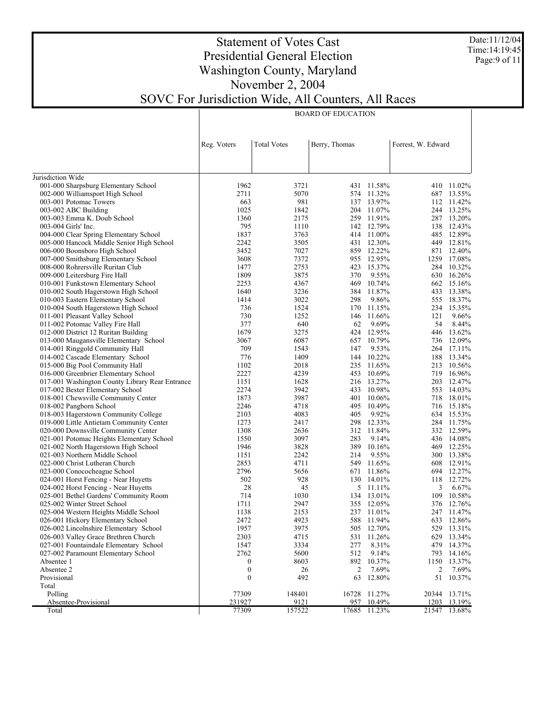Date:11/12/04 Time:14:19:45 Page:9 of 11

### Statement of Votes Cast Presidential General Election Washington County, Maryland November 2, 2004 SOVC For Jurisdiction Wide, All Counters, All Races

BOARD OF EDUCATION

|                                                 | Reg. Voters      | <b>Total Votes</b> | Berry, Thomas |            | Forrest, W. Edward |            |
|-------------------------------------------------|------------------|--------------------|---------------|------------|--------------------|------------|
|                                                 |                  |                    |               |            |                    |            |
|                                                 |                  |                    |               |            |                    |            |
| Jurisdiction Wide                               |                  |                    |               |            |                    |            |
| 001-000 Sharpsburg Elementary School            | 1962             | 3721               |               | 431 11.58% |                    | 410 11.02% |
| 002-000 Williamsport High School                | 2711             | 5070               |               | 574 11.32% | 687                | 13.55%     |
| 003-001 Potomac Towers                          | 663              | 981                |               | 137 13.97% |                    | 112 11.42% |
| 003-002 ABC Building                            | 1025             | 1842               |               | 204 11.07% |                    | 244 13.25% |
| 003-003 Emma K. Doub School                     | 1360             | 2175               |               | 259 11.91% |                    | 287 13.20% |
| 003-004 Girls' Inc.                             | 795              | 1110               |               | 142 12.79% | 138                | 12.43%     |
| 004-000 Clear Spring Elementary School          | 1837             | 3763               |               | 414 11.00% |                    | 485 12.89% |
| 005-000 Hancock Middle Senior High School       | 2242             | 3505               |               | 431 12.30% |                    | 449 12.81% |
| 006-000 Boonsboro High School                   | 3452             | 7027               |               | 859 12.22% | 871                | 12.40%     |
| 007-000 Smithsburg Elementary School            | 3608             | 7372               |               | 955 12.95% | 1259               | 17.08%     |
| 008-000 Rohrersville Ruritan Club               | 1477             | 2753               |               | 423 15.37% | 284                | 10.32%     |
| 009-000 Leitersburg Fire Hall                   | 1809             | 3875               | 370           | 9.55%      | 630                | 16.26%     |
| 010-001 Funkstown Elementary School             | 2253             | 4367               | 469           | 10.74%     |                    | 662 15.16% |
| 010-002 South Hagerstown High School            | 1640             | 3236               | 384           | 11.87%     |                    | 433 13.38% |
| 010-003 Eastern Elementary School               | 1414             | 3022               | 298           | 9.86%      |                    | 555 18.37% |
| 010-004 South Hagerstown High School            | 736              | 1524               | 170           | 11.15%     | 234                | 15.35%     |
| 011-001 Pleasant Valley School                  | 730              | 1252               |               | 146 11.66% | 121                | 9.66%      |
| 011-002 Potomac Valley Fire Hall                | 377              | 640                | 62            | 9.69%      | 54                 | 8.44%      |
| 012-000 District 12 Ruritan Building            | 1679             | 3275               |               | 424 12.95% | 446                | 13.62%     |
| 013-000 Maugansville Elementary School          | 3067             | 6087               | 657           | 10.79%     | 736                | 12.09%     |
| 014-001 Ringgold Community Hall                 | 709              | 1543               | 147           | 9.53%      |                    | 264 17.11% |
| 014-002 Cascade Elementary School               | 776              | 1409               |               | 144 10.22% | 188                | 13.34%     |
| 015-000 Big Pool Community Hall                 | 1102             | 2018               |               | 235 11.65% | 213                | 10.56%     |
| 016-000 Greenbrier Elementary School            | 2227             | 4239               |               | 453 10.69% | 719                | 16.96%     |
| 017-001 Washington County Library Rear Entrance | 1151             | 1628               |               | 216 13.27% | 203                | 12.47%     |
| 017-002 Bester Elementary School                | 2274             | 3942               | 433           | 10.98%     | 553                | 14.03%     |
| 018-001 Chewsville Community Center             | 1873             | 3987               | 401           | 10.06%     |                    | 718 18.01% |
| 018-002 Pangborn School                         | 2246             | 4718               | 495           | 10.49%     |                    | 716 15.18% |
| 018-003 Hagerstown Community College            | 2103             | 4083               | 405           | 9.92%      |                    | 634 15.53% |
| 019-000 Little Antietam Community Center        | 1273             | 2417               | 298           | 12.33%     |                    | 284 11.75% |
| 020-000 Downsville Community Center             | 1308             | 2636               |               | 312 11.84% |                    | 332 12.59% |
| 021-001 Potomac Heights Elementary School       | 1550             | 3097               | 283           | 9.14%      |                    | 436 14.08% |
| 021-002 North Hagerstown High School            | 1946             | 3828               |               | 389 10.16% |                    | 469 12.25% |
| 021-003 Northern Middle School                  | 1151             | 2242               | 214           | 9.55%      |                    | 300 13.38% |
| 022-000 Christ Lutheran Church                  | 2853             | 4711               |               | 549 11.65% | 608                | 12.91%     |
| 023-000 Conococheague School                    | 2796             | 5656               |               | 671 11.86% | 694                | 12.27%     |
| 024-001 Horst Fencing - Near Huyetts            | 502              | 928                |               | 130 14.01% | 118                | 12.72%     |
| 024-002 Horst Fencing - Near Huyetts            | 28               | 45                 |               | 5 11.11%   | 3                  | 6.67%      |
| 025-001 Bethel Gardens' Community Room          | 714              | 1030               |               | 134 13.01% | 109                | 10.58%     |
| 025-002 Winter Street School                    | 1711             | 2947               |               | 355 12.05% |                    | 376 12.76% |
| 025-004 Western Heights Middle School           | 1138             | 2153               |               | 237 11.01% |                    | 247 11.47% |
| 026-001 Hickory Elementary School               | 2472             | 4923               |               | 588 11.94% | 633                | 12.86%     |
| 026-002 Lincolnshire Elementary School          | 1957             | 3975               |               | 505 12.70% |                    | 529 13.31% |
| 026-003 Valley Grace Brethren Church            | 2303             | 4715               |               | 531 11.26% |                    | 629 13.34% |
| 027-001 Fountaindale Elementary School          | 1547             | 3334               | 277           | 8.31%      |                    | 479 14.37% |
| 027-002 Paramount Elementary School             | 2762             | 5600               | 512           | 9.14%      | 793                | 14.16%     |
| Absentee 1                                      | $\boldsymbol{0}$ | 8603               |               | 892 10.37% | 1150               | 13.37%     |
| Absentee 2                                      | $\boldsymbol{0}$ | 26                 | 2             | 7.69%      | 2                  | 7.69%      |
| Provisional                                     | $\boldsymbol{0}$ | 492                | 63            | 12.80%     | 51                 | 10.37%     |
| Total                                           |                  |                    |               |            |                    |            |
| Polling                                         | 77309            | 148401             | 16728         | 11.27%     | 20344              | 13.71%     |
| Absentee-Provisional                            | 231927           | 9121               | 957           | 10.49%     | 1203               | 13.19%     |
| Total                                           | 77309            | 157522             | 17685         | 11.23%     | 21547              | 13.68%     |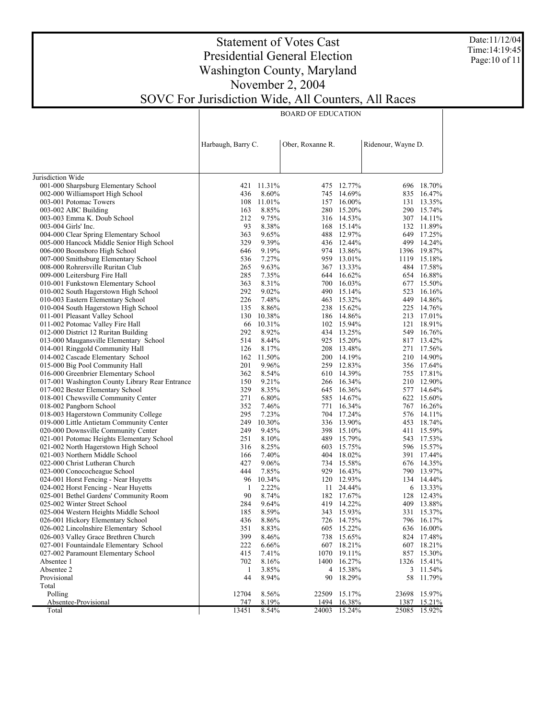Date:11/12/04 Time:14:19:45 Page:10 of 11

### Statement of Votes Cast Presidential General Election Washington County, Maryland November 2, 2004 SOVC For Jurisdiction Wide, All Counters, All Races

#### BOARD OF EDUCATION

|                                                 | Harbaugh, Barry C. |            | Ober, Roxanne R. |             |       | Ridenour, Wayne D. |
|-------------------------------------------------|--------------------|------------|------------------|-------------|-------|--------------------|
|                                                 |                    |            |                  |             |       |                    |
|                                                 |                    |            |                  |             |       |                    |
| Jurisdiction Wide                               |                    |            |                  |             |       |                    |
| 001-000 Sharpsburg Elementary School            | 421                | 11.31%     |                  | 475 12.77%  |       | 696 18.70%         |
| 002-000 Williamsport High School                | 436                | 8.60%      |                  | 745 14.69%  |       | 835 16.47%         |
| 003-001 Potomac Towers                          |                    | 108 11.01% |                  | 157 16.00%  |       | 131 13.35%         |
| 003-002 ABC Building                            | 163                | 8.85%      |                  | 280 15.20%  |       | 290 15.74%         |
| 003-003 Emma K. Doub School                     | 212                | 9.75%      |                  | 316 14.53%  |       | 307 14.11%         |
| 003-004 Girls' Inc.                             | 93                 | 8.38%      |                  | 168 15.14%  |       | 132 11.89%         |
| 004-000 Clear Spring Elementary School          | 363                | 9.65%      |                  | 488 12.97%  |       | 649 17.25%         |
| 005-000 Hancock Middle Senior High School       | 329                | 9.39%      |                  | 436 12.44%  |       | 499 14.24%         |
| 006-000 Boonsboro High School                   | 646                | 9.19%      |                  | 974 13.86%  |       | 1396 19.87%        |
| 007-000 Smithsburg Elementary School            | 536                | 7.27%      | 959              | 13.01%      | 1119  | 15.18%             |
| 008-000 Rohrersville Ruritan Club               | 265                | 9.63%      |                  | 367 13.33%  |       | 484 17.58%         |
| 009-000 Leitersburg Fire Hall                   | 285                | 7.35%      | 644              | 16.62%      |       | 654 16.88%         |
| 010-001 Funkstown Elementary School             | 363                | 8.31%      | 700              | 16.03%      |       | 677 15.50%         |
| 010-002 South Hagerstown High School            | 292                | 9.02%      | 490              | 15.14%      |       | 523 16.16%         |
| 010-003 Eastern Elementary School               | 226                | 7.48%      | 463              | 15.32%      |       | 449 14.86%         |
| 010-004 South Hagerstown High School            | 135                | 8.86%      | 238              | 15.62%      |       | 225 14.76%         |
| 011-001 Pleasant Valley School                  | 130                | 10.38%     |                  | 186 14.86%  |       | 213 17.01%         |
| 011-002 Potomac Valley Fire Hall                | 66                 | 10.31%     |                  | 102 15.94%  | 121   | 18.91%             |
| 012-000 District 12 Ruritan Building            | 292                | 8.92%      |                  | 434 13.25%  |       | 549 16.76%         |
| 013-000 Maugansville Elementary School          | 514                | 8.44%      |                  | 925 15.20%  |       | 817 13.42%         |
| 014-001 Ringgold Community Hall                 | 126                | 8.17%      |                  | 208 13.48%  |       | 271 17.56%         |
| 014-002 Cascade Elementary School               | 162                | 11.50%     | 200              | 14.19%      |       | 210 14.90%         |
| 015-000 Big Pool Community Hall                 | 201                | 9.96%      |                  | 259 12.83%  |       | 356 17.64%         |
| 016-000 Greenbrier Elementary School            | 362                | 8.54%      |                  | 610 14.39%  |       | 755 17.81%         |
| 017-001 Washington County Library Rear Entrance | 150                | 9.21%      |                  | 266 16.34%  |       | 210 12.90%         |
| 017-002 Bester Elementary School                | 329                | 8.35%      | 645              | 16.36%      |       | 577 14.64%         |
| 018-001 Chewsville Community Center             | 271                | 6.80%      |                  | 585 14.67%  |       | 622 15.60%         |
| 018-002 Pangborn School                         | 352                | 7.46%      |                  | 771 16.34%  |       | 767 16.26%         |
| 018-003 Hagerstown Community College            | 295                | 7.23%      |                  | 704 17.24%  |       | 576 14.11%         |
| 019-000 Little Antietam Community Center        | 249                | 10.30%     |                  | 336 13.90%  |       | 453 18.74%         |
| 020-000 Downsville Community Center             | 249                | 9.45%      |                  | 398 15.10%  |       | 411 15.59%         |
| 021-001 Potomac Heights Elementary School       | 251                | 8.10%      | 489              | 15.79%      |       | 543 17.53%         |
| 021-002 North Hagerstown High School            | 316                | 8.25%      | 603              | 15.75%      |       | 596 15.57%         |
| 021-003 Northern Middle School                  | 166                | 7.40%      | 404              | 18.02%      |       | 391 17.44%         |
| 022-000 Christ Lutheran Church                  | 427                | 9.06%      |                  | 734 15.58%  |       | 676 14.35%         |
| 023-000 Conococheague School                    | 444                | 7.85%      | 929              | 16.43%      |       | 790 13.97%         |
| 024-001 Horst Fencing - Near Huyetts            | 96                 | 10.34%     |                  | 120 12.93%  |       | 134 14.44%         |
| 024-002 Horst Fencing - Near Huyetts            | 1                  | 2.22%      |                  | 11 24.44%   |       | 6 13.33%           |
| 025-001 Bethel Gardens' Community Room          | 90                 | 8.74%      |                  | 182 17.67%  |       | 128 12.43%         |
| 025-002 Winter Street School                    | 284                | 9.64%      |                  | 419 14.22%  |       | 409 13.88%         |
| 025-004 Western Heights Middle School           | 185                | 8.59%      |                  | 343 15.93%  |       | 331 15.37%         |
| 026-001 Hickory Elementary School               | 436                | 8.86%      |                  | 726 14.75%  |       | 796 16.17%         |
| 026-002 Lincolnshire Elementary School          | 351                | 8.83%      |                  | 605 15.22%  |       | 636 16.00%         |
| 026-003 Valley Grace Brethren Church            | 399                | 8.46%      |                  | 738 15.65%  |       | 824 17.48%         |
| 027-001 Fountaindale Elementary School          | 222                | 6.66%      |                  | 607 18.21%  |       | 607 18.21%         |
| 027-002 Paramount Elementary School             | 415                | 7.41%      | 1070             | 19.11%      |       | 857 15.30%         |
| Absentee 1                                      | 702                | 8.16%      |                  | 1400 16.27% |       | 1326 15.41%        |
| Absentee 2                                      | 1                  | 3.85%      | 4                | 15.38%      |       | 3 11.54%           |
| Provisional                                     | 44                 | 8.94%      | 90               | 18.29%      | 58    | 11.79%             |
| Total                                           |                    |            |                  |             |       |                    |
| Polling                                         | 12704              | 8.56%      | 22509            | 15.17%      | 23698 | 15.97%             |
| Absentee-Provisional                            | 747                | 8.19%      | 1494             | 16.38%      | 1387  | 15.21%             |
| Total                                           | 13451              | 8.54%      | 24003            | 15.24%      | 25085 | 15.92%             |